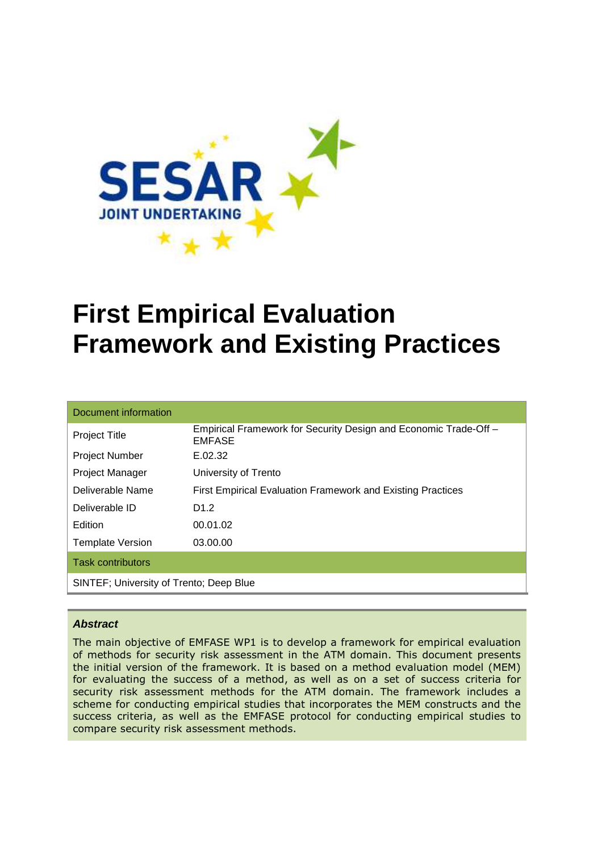

# **First Empirical Evaluation Framework and Existing Practices**

| Document information                    |                                                                                   |  |
|-----------------------------------------|-----------------------------------------------------------------------------------|--|
| <b>Project Title</b>                    | Empirical Framework for Security Design and Economic Trade-Off -<br><b>EMFASE</b> |  |
| <b>Project Number</b>                   | E.02.32                                                                           |  |
| <b>Project Manager</b>                  | University of Trento                                                              |  |
| Deliverable Name                        | <b>First Empirical Evaluation Framework and Existing Practices</b>                |  |
| Deliverable ID                          | D <sub>1.2</sub>                                                                  |  |
| <b>Edition</b>                          | 00.01.02                                                                          |  |
| <b>Template Version</b>                 | 03.00.00                                                                          |  |
| <b>Task contributors</b>                |                                                                                   |  |
| SINTEF; University of Trento; Deep Blue |                                                                                   |  |

#### **Abstract**

The main objective of EMFASE WP1 is to develop a framework for empirical evaluation of methods for security risk assessment in the ATM domain. This document presents the initial version of the framework. It is based on a method evaluation model (MEM) for evaluating the success of a method, as well as on a set of success criteria for security risk assessment methods for the ATM domain. The framework includes a scheme for conducting empirical studies that incorporates the MEM constructs and the success criteria, as well as the EMFASE protocol for conducting empirical studies to compare security risk assessment methods.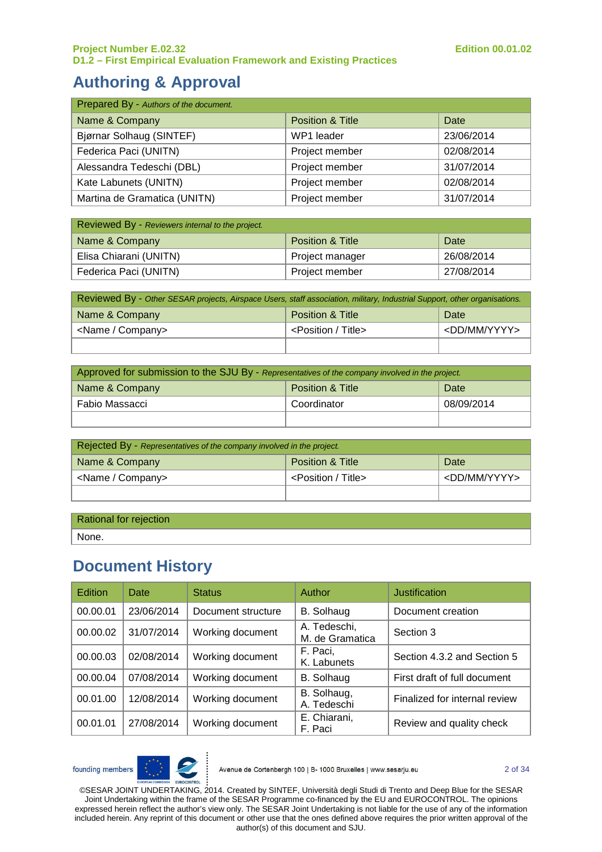# **Authoring & Approval**

| Prepared By - Authors of the document. |                             |            |  |
|----------------------------------------|-----------------------------|------------|--|
| Name & Company                         | <b>Position &amp; Title</b> | Date       |  |
| Bjørnar Solhaug (SINTEF)               | WP1 leader                  | 23/06/2014 |  |
| Federica Paci (UNITN)                  | Project member              | 02/08/2014 |  |
| Alessandra Tedeschi (DBL)              | Project member              | 31/07/2014 |  |
| Kate Labunets (UNITN)                  | Project member              | 02/08/2014 |  |
| Martina de Gramatica (UNITN)           | Project member              | 31/07/2014 |  |

| Reviewed By - Reviewers internal to the project. |                  |            |
|--------------------------------------------------|------------------|------------|
| Name & Company                                   | Position & Title | Date       |
| Elisa Chiarani (UNITN)                           | Project manager  | 26/08/2014 |
| Federica Paci (UNITN)                            | Project member   | 27/08/2014 |

| Reviewed By - Other SESAR projects, Airspace Users, staff association, military, Industrial Support, other organisations. |                                |                         |  |
|---------------------------------------------------------------------------------------------------------------------------|--------------------------------|-------------------------|--|
| Name & Company                                                                                                            | Position & Title               | Date                    |  |
| <name company=""></name>                                                                                                  | <position title=""></position> | <dd mm="" yyyy=""></dd> |  |
|                                                                                                                           |                                |                         |  |

| Approved for submission to the SJU By - Representatives of the company involved in the project. |                  |            |
|-------------------------------------------------------------------------------------------------|------------------|------------|
| Name & Company                                                                                  | Position & Title | Date       |
| Fabio Massacci                                                                                  | Coordinator      | 08/09/2014 |
|                                                                                                 |                  |            |

| Rejected By - Representatives of the company involved in the project. |                                |                         |
|-----------------------------------------------------------------------|--------------------------------|-------------------------|
| Name & Company                                                        | Position & Title               | Date                    |
| <name company=""></name>                                              | <position title=""></position> | <dd mm="" yyyy=""></dd> |
|                                                                       |                                |                         |

None.

# **Document History**

| Edition  | <b>Date</b> | <b>Status</b>      | Author                          | Justification                 |
|----------|-------------|--------------------|---------------------------------|-------------------------------|
| 00.00.01 | 23/06/2014  | Document structure | B. Solhaug                      | Document creation             |
| 00.00.02 | 31/07/2014  | Working document   | A. Tedeschi,<br>M. de Gramatica | Section 3                     |
| 00.00.03 | 02/08/2014  | Working document   | F. Paci,<br>K. Labunets         | Section 4.3.2 and Section 5   |
| 00.00.04 | 07/08/2014  | Working document   | B. Solhaug                      | First draft of full document  |
| 00.01.00 | 12/08/2014  | Working document   | B. Solhaug,<br>A. Tedeschi      | Finalized for internal review |
| 00.01.01 | 27/08/2014  | Working document   | E. Chiarani,<br>F. Paci         | Review and quality check      |

founding members



Avenue de Cortenbergh 100 | B- 1000 Bruxelles | www.sesarju.eu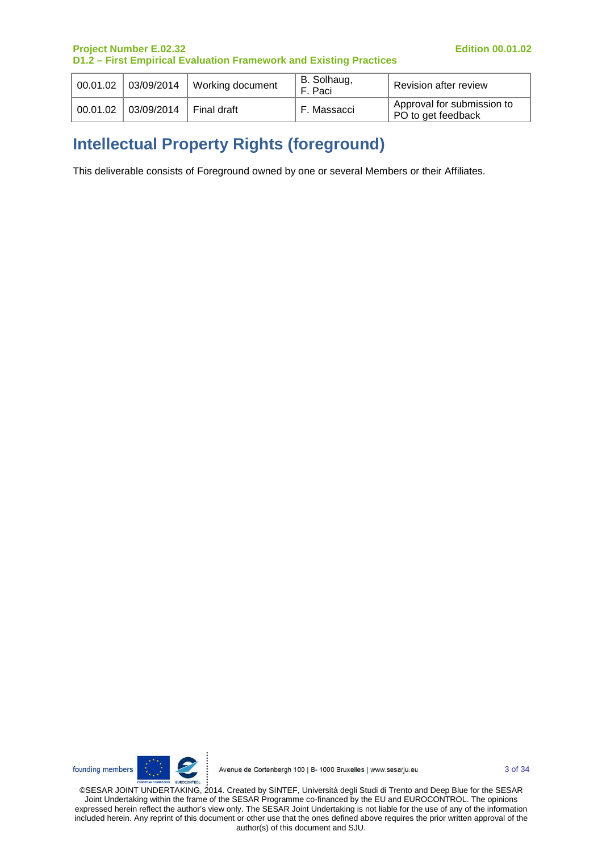| 00.01.02 03/09/2014 | Working document | B. Solhaug,<br>F. Paci | <b>Revision after review</b>                     |
|---------------------|------------------|------------------------|--------------------------------------------------|
| 00.01.02 03/09/2014 | Final draft      | F. Massacci            | Approval for submission to<br>PO to get feedback |

# **Intellectual Property Rights (foreground)**

This deliverable consists of Foreground owned by one or several Members or their Affiliates.

founding members



3 of 34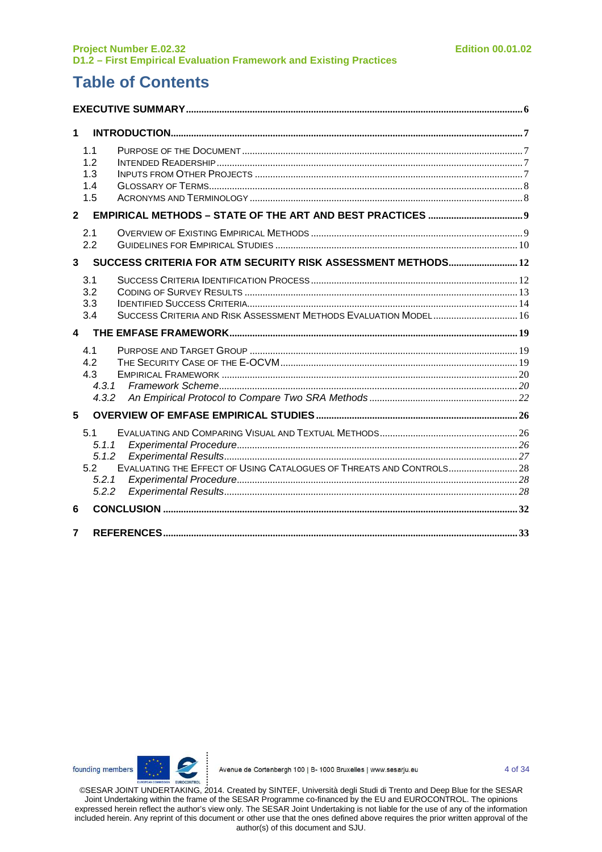# **Table of Contents**

| 1              |                                                |                                                                      |  |
|----------------|------------------------------------------------|----------------------------------------------------------------------|--|
|                | 1.1<br>1.2<br>1.3<br>1.4<br>1.5                |                                                                      |  |
| $\overline{2}$ |                                                |                                                                      |  |
|                | 2.1<br>2.2                                     |                                                                      |  |
| 3              |                                                | SUCCESS CRITERIA FOR ATM SECURITY RISK ASSESSMENT METHODS 12         |  |
|                | 3.1<br>3.2<br>3.3<br>3.4                       | SUCCESS CRITERIA AND RISK ASSESSMENT METHODS EVALUATION MODEL 16     |  |
| 4              |                                                |                                                                      |  |
|                | 4.1<br>4.2<br>4.3<br>4.3.1<br>4.3.2            |                                                                      |  |
| 5              |                                                |                                                                      |  |
|                | 5.1<br>5.1.1<br>5.1.2<br>5.2<br>5.2.1<br>5.2.2 | EVALUATING THE EFFECT OF USING CATALOGUES OF THREATS AND CONTROLS 28 |  |
| 6              |                                                |                                                                      |  |
| $\overline{7}$ |                                                |                                                                      |  |



 $\ddot{\cdot}$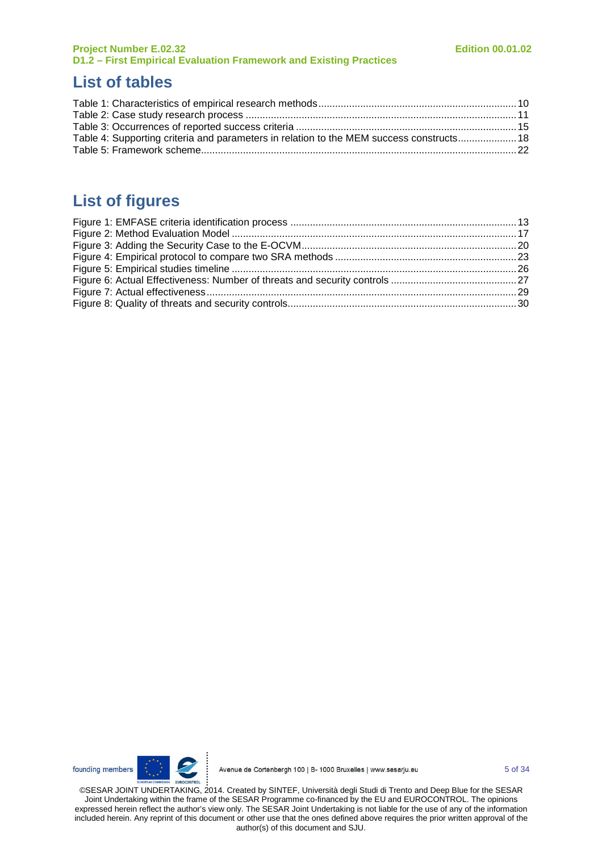### **List of tables**

| Table 4: Supporting criteria and parameters in relation to the MEM success constructs 18 |  |
|------------------------------------------------------------------------------------------|--|
|                                                                                          |  |

# **List of figures**

founding members

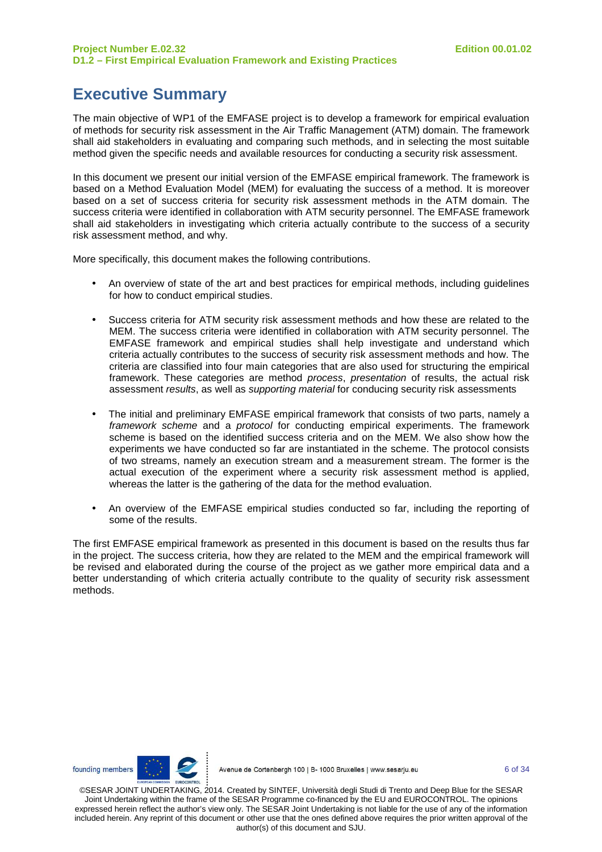# **Executive Summary**

The main objective of WP1 of the EMFASE project is to develop a framework for empirical evaluation of methods for security risk assessment in the Air Traffic Management (ATM) domain. The framework shall aid stakeholders in evaluating and comparing such methods, and in selecting the most suitable method given the specific needs and available resources for conducting a security risk assessment.

In this document we present our initial version of the EMFASE empirical framework. The framework is based on a Method Evaluation Model (MEM) for evaluating the success of a method. It is moreover based on a set of success criteria for security risk assessment methods in the ATM domain. The success criteria were identified in collaboration with ATM security personnel. The EMFASE framework shall aid stakeholders in investigating which criteria actually contribute to the success of a security risk assessment method, and why.

More specifically, this document makes the following contributions.

- An overview of state of the art and best practices for empirical methods, including guidelines for how to conduct empirical studies.
- Success criteria for ATM security risk assessment methods and how these are related to the MEM. The success criteria were identified in collaboration with ATM security personnel. The EMFASE framework and empirical studies shall help investigate and understand which criteria actually contributes to the success of security risk assessment methods and how. The criteria are classified into four main categories that are also used for structuring the empirical framework. These categories are method *process*, *presentation* of results, the actual risk assessment results, as well as *supporting material* for conducing security risk assessments
- The initial and preliminary EMFASE empirical framework that consists of two parts, namely a framework scheme and a protocol for conducting empirical experiments. The framework scheme is based on the identified success criteria and on the MEM. We also show how the experiments we have conducted so far are instantiated in the scheme. The protocol consists of two streams, namely an execution stream and a measurement stream. The former is the actual execution of the experiment where a security risk assessment method is applied, whereas the latter is the gathering of the data for the method evaluation.
- An overview of the EMFASE empirical studies conducted so far, including the reporting of some of the results.

The first EMFASE empirical framework as presented in this document is based on the results thus far in the project. The success criteria, how they are related to the MEM and the empirical framework will be revised and elaborated during the course of the project as we gather more empirical data and a better understanding of which criteria actually contribute to the quality of security risk assessment methods.

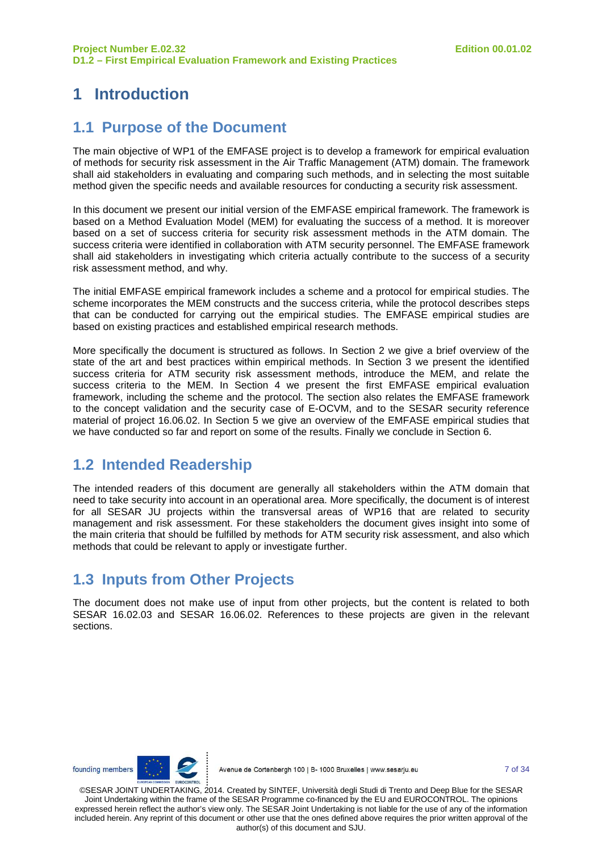# **1 Introduction**

### **1.1 Purpose of the Document**

The main objective of WP1 of the EMFASE project is to develop a framework for empirical evaluation of methods for security risk assessment in the Air Traffic Management (ATM) domain. The framework shall aid stakeholders in evaluating and comparing such methods, and in selecting the most suitable method given the specific needs and available resources for conducting a security risk assessment.

In this document we present our initial version of the EMFASE empirical framework. The framework is based on a Method Evaluation Model (MEM) for evaluating the success of a method. It is moreover based on a set of success criteria for security risk assessment methods in the ATM domain. The success criteria were identified in collaboration with ATM security personnel. The EMFASE framework shall aid stakeholders in investigating which criteria actually contribute to the success of a security risk assessment method, and why.

The initial EMFASE empirical framework includes a scheme and a protocol for empirical studies. The scheme incorporates the MEM constructs and the success criteria, while the protocol describes steps that can be conducted for carrying out the empirical studies. The EMFASE empirical studies are based on existing practices and established empirical research methods.

More specifically the document is structured as follows. In Section 2 we give a brief overview of the state of the art and best practices within empirical methods. In Section 3 we present the identified success criteria for ATM security risk assessment methods, introduce the MEM, and relate the success criteria to the MEM. In Section 4 we present the first EMFASE empirical evaluation framework, including the scheme and the protocol. The section also relates the EMFASE framework to the concept validation and the security case of E-OCVM, and to the SESAR security reference material of project 16.06.02. In Section 5 we give an overview of the EMFASE empirical studies that we have conducted so far and report on some of the results. Finally we conclude in Section 6.

### **1.2 Intended Readership**

The intended readers of this document are generally all stakeholders within the ATM domain that need to take security into account in an operational area. More specifically, the document is of interest for all SESAR JU projects within the transversal areas of WP16 that are related to security management and risk assessment. For these stakeholders the document gives insight into some of the main criteria that should be fulfilled by methods for ATM security risk assessment, and also which methods that could be relevant to apply or investigate further.

### **1.3 Inputs from Other Projects**

The document does not make use of input from other projects, but the content is related to both SESAR 16.02.03 and SESAR 16.06.02. References to these projects are given in the relevant sections.



7 of 34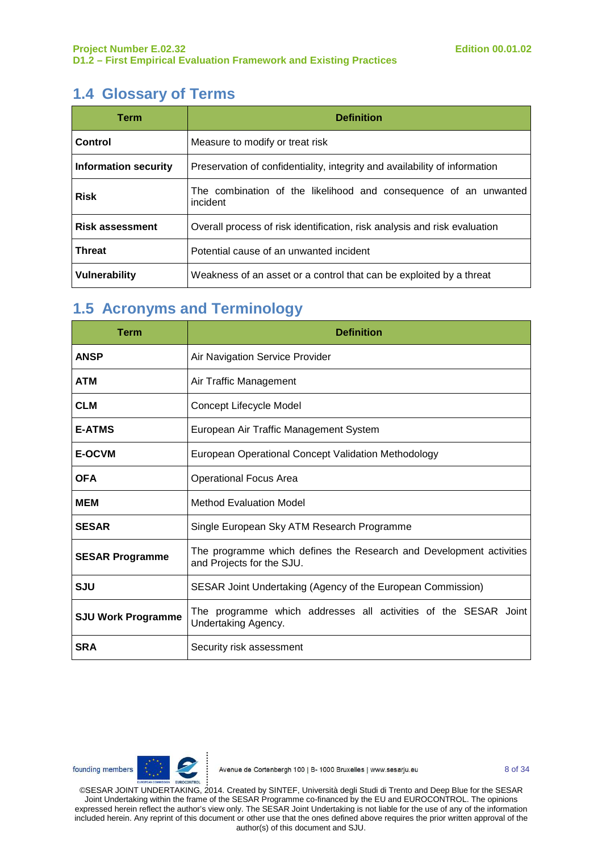### **1.4 Glossary of Terms**

| <b>Term</b>                 | <b>Definition</b>                                                            |  |  |  |  |  |  |  |
|-----------------------------|------------------------------------------------------------------------------|--|--|--|--|--|--|--|
| Control                     | Measure to modify or treat risk                                              |  |  |  |  |  |  |  |
| <b>Information security</b> | Preservation of confidentiality, integrity and availability of information   |  |  |  |  |  |  |  |
| <b>Risk</b>                 | The combination of the likelihood and consequence of an unwanted<br>incident |  |  |  |  |  |  |  |
| <b>Risk assessment</b>      | Overall process of risk identification, risk analysis and risk evaluation    |  |  |  |  |  |  |  |
| <b>Threat</b>               | Potential cause of an unwanted incident                                      |  |  |  |  |  |  |  |
| <b>Vulnerability</b>        | Weakness of an asset or a control that can be exploited by a threat          |  |  |  |  |  |  |  |

# **1.5 Acronyms and Terminology**

| Term                      | <b>Definition</b>                                                                                |  |  |  |  |  |  |  |
|---------------------------|--------------------------------------------------------------------------------------------------|--|--|--|--|--|--|--|
| <b>ANSP</b>               | Air Navigation Service Provider                                                                  |  |  |  |  |  |  |  |
| <b>ATM</b>                | Air Traffic Management                                                                           |  |  |  |  |  |  |  |
| <b>CLM</b>                | Concept Lifecycle Model                                                                          |  |  |  |  |  |  |  |
| <b>E-ATMS</b>             | European Air Traffic Management System                                                           |  |  |  |  |  |  |  |
| <b>E-OCVM</b>             | European Operational Concept Validation Methodology                                              |  |  |  |  |  |  |  |
| <b>OFA</b>                | <b>Operational Focus Area</b>                                                                    |  |  |  |  |  |  |  |
| <b>MEM</b>                | <b>Method Evaluation Model</b>                                                                   |  |  |  |  |  |  |  |
| <b>SESAR</b>              | Single European Sky ATM Research Programme                                                       |  |  |  |  |  |  |  |
| <b>SESAR Programme</b>    | The programme which defines the Research and Development activities<br>and Projects for the SJU. |  |  |  |  |  |  |  |
| SJU                       | SESAR Joint Undertaking (Agency of the European Commission)                                      |  |  |  |  |  |  |  |
| <b>SJU Work Programme</b> | The programme which addresses all activities of the SESAR Joint<br>Undertaking Agency.           |  |  |  |  |  |  |  |
| <b>SRA</b>                | Security risk assessment                                                                         |  |  |  |  |  |  |  |

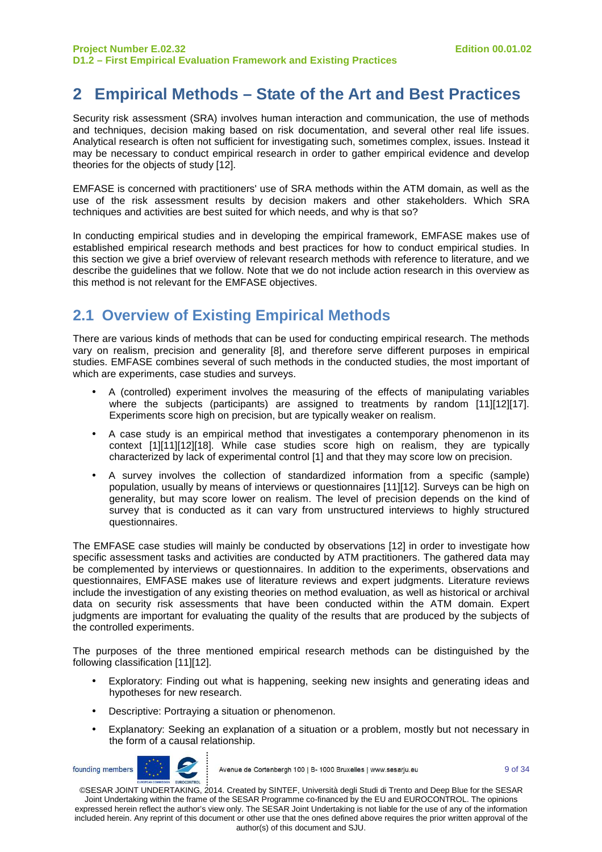# **2 Empirical Methods – State of the Art and Best Practices**

Security risk assessment (SRA) involves human interaction and communication, the use of methods and techniques, decision making based on risk documentation, and several other real life issues. Analytical research is often not sufficient for investigating such, sometimes complex, issues. Instead it may be necessary to conduct empirical research in order to gather empirical evidence and develop theories for the objects of study [12].

EMFASE is concerned with practitioners' use of SRA methods within the ATM domain, as well as the use of the risk assessment results by decision makers and other stakeholders. Which SRA techniques and activities are best suited for which needs, and why is that so?

In conducting empirical studies and in developing the empirical framework, EMFASE makes use of established empirical research methods and best practices for how to conduct empirical studies. In this section we give a brief overview of relevant research methods with reference to literature, and we describe the guidelines that we follow. Note that we do not include action research in this overview as this method is not relevant for the EMFASE objectives.

# **2.1 Overview of Existing Empirical Methods**

There are various kinds of methods that can be used for conducting empirical research. The methods vary on realism, precision and generality [8], and therefore serve different purposes in empirical studies. EMFASE combines several of such methods in the conducted studies, the most important of which are experiments, case studies and surveys.

- A (controlled) experiment involves the measuring of the effects of manipulating variables where the subjects (participants) are assigned to treatments by random [11][12][17]. Experiments score high on precision, but are typically weaker on realism.
- A case study is an empirical method that investigates a contemporary phenomenon in its context [1][11][12][18]. While case studies score high on realism, they are typically characterized by lack of experimental control [1] and that they may score low on precision.
- A survey involves the collection of standardized information from a specific (sample) population, usually by means of interviews or questionnaires [11][12]. Surveys can be high on generality, but may score lower on realism. The level of precision depends on the kind of survey that is conducted as it can vary from unstructured interviews to highly structured questionnaires.

The EMFASE case studies will mainly be conducted by observations [12] in order to investigate how specific assessment tasks and activities are conducted by ATM practitioners. The gathered data may be complemented by interviews or questionnaires. In addition to the experiments, observations and questionnaires, EMFASE makes use of literature reviews and expert judgments. Literature reviews include the investigation of any existing theories on method evaluation, as well as historical or archival data on security risk assessments that have been conducted within the ATM domain. Expert judgments are important for evaluating the quality of the results that are produced by the subjects of the controlled experiments.

The purposes of the three mentioned empirical research methods can be distinguished by the following classification [11][12].

- Exploratory: Finding out what is happening, seeking new insights and generating ideas and hypotheses for new research.
- Descriptive: Portraying a situation or phenomenon.
- Explanatory: Seeking an explanation of a situation or a problem, mostly but not necessary in the form of a causal relationship.



Avenue de Cortenbergh 100 | B- 1000 Bruxelles | www.sesarju.eu

9 of 34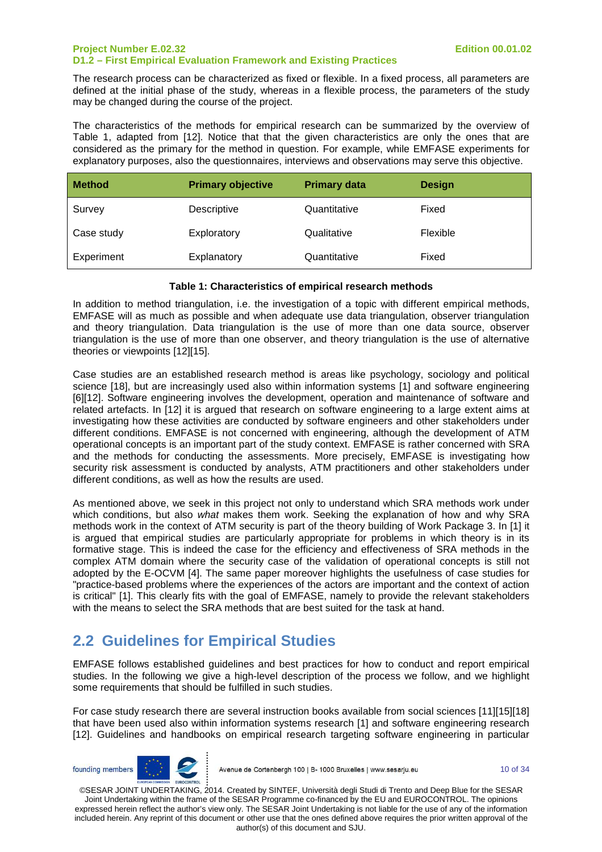The research process can be characterized as fixed or flexible. In a fixed process, all parameters are defined at the initial phase of the study, whereas in a flexible process, the parameters of the study may be changed during the course of the project.

The characteristics of the methods for empirical research can be summarized by the overview of Table 1, adapted from [12]. Notice that that the given characteristics are only the ones that are considered as the primary for the method in question. For example, while EMFASE experiments for explanatory purposes, also the questionnaires, interviews and observations may serve this objective.

| <b>Method</b> | <b>Primary objective</b> | <b>Primary data</b> | <b>Design</b> |
|---------------|--------------------------|---------------------|---------------|
| Survey        | Descriptive              | Quantitative        | Fixed         |
| Case study    | Exploratory              | Qualitative         | Flexible      |
| Experiment    | Explanatory              | Quantitative        | Fixed         |

#### **Table 1: Characteristics of empirical research methods**

In addition to method triangulation, i.e. the investigation of a topic with different empirical methods, EMFASE will as much as possible and when adequate use data triangulation, observer triangulation and theory triangulation. Data triangulation is the use of more than one data source, observer triangulation is the use of more than one observer, and theory triangulation is the use of alternative theories or viewpoints [12][15].

Case studies are an established research method is areas like psychology, sociology and political science [18], but are increasingly used also within information systems [1] and software engineering [6][12]. Software engineering involves the development, operation and maintenance of software and related artefacts. In [12] it is argued that research on software engineering to a large extent aims at investigating how these activities are conducted by software engineers and other stakeholders under different conditions. EMFASE is not concerned with engineering, although the development of ATM operational concepts is an important part of the study context. EMFASE is rather concerned with SRA and the methods for conducting the assessments. More precisely, EMFASE is investigating how security risk assessment is conducted by analysts, ATM practitioners and other stakeholders under different conditions, as well as how the results are used.

As mentioned above, we seek in this project not only to understand which SRA methods work under which conditions, but also what makes them work. Seeking the explanation of how and why SRA methods work in the context of ATM security is part of the theory building of Work Package 3. In [1] it is argued that empirical studies are particularly appropriate for problems in which theory is in its formative stage. This is indeed the case for the efficiency and effectiveness of SRA methods in the complex ATM domain where the security case of the validation of operational concepts is still not adopted by the E-OCVM [4]. The same paper moreover highlights the usefulness of case studies for "practice-based problems where the experiences of the actors are important and the context of action is critical" [1]. This clearly fits with the goal of EMFASE, namely to provide the relevant stakeholders with the means to select the SRA methods that are best suited for the task at hand.

### **2.2 Guidelines for Empirical Studies**

EMFASE follows established guidelines and best practices for how to conduct and report empirical studies. In the following we give a high-level description of the process we follow, and we highlight some requirements that should be fulfilled in such studies.

For case study research there are several instruction books available from social sciences [11][15][18] that have been used also within information systems research [1] and software engineering research [12]. Guidelines and handbooks on empirical research targeting software engineering in particular



Avenue de Cortenbergh 100 | B- 1000 Bruxelles | www.sesarju.eu

10 of 34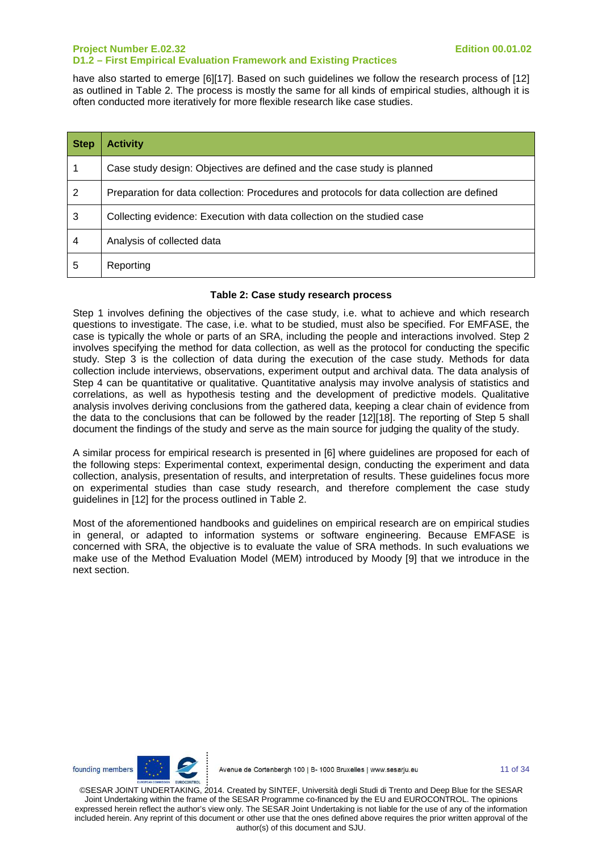have also started to emerge [6][17]. Based on such guidelines we follow the research process of [12] as outlined in Table 2. The process is mostly the same for all kinds of empirical studies, although it is often conducted more iteratively for more flexible research like case studies.

| <b>Step</b> | <b>Activity</b>                                                                           |
|-------------|-------------------------------------------------------------------------------------------|
|             | Case study design: Objectives are defined and the case study is planned                   |
| 2           | Preparation for data collection: Procedures and protocols for data collection are defined |
| 3           | Collecting evidence: Execution with data collection on the studied case                   |
| 4           | Analysis of collected data                                                                |
| 5           | Reporting                                                                                 |

#### **Table 2: Case study research process**

Step 1 involves defining the objectives of the case study, i.e. what to achieve and which research questions to investigate. The case, i.e. what to be studied, must also be specified. For EMFASE, the case is typically the whole or parts of an SRA, including the people and interactions involved. Step 2 involves specifying the method for data collection, as well as the protocol for conducting the specific study. Step 3 is the collection of data during the execution of the case study. Methods for data collection include interviews, observations, experiment output and archival data. The data analysis of Step 4 can be quantitative or qualitative. Quantitative analysis may involve analysis of statistics and correlations, as well as hypothesis testing and the development of predictive models. Qualitative analysis involves deriving conclusions from the gathered data, keeping a clear chain of evidence from the data to the conclusions that can be followed by the reader [12][18]. The reporting of Step 5 shall document the findings of the study and serve as the main source for judging the quality of the study.

A similar process for empirical research is presented in [6] where guidelines are proposed for each of the following steps: Experimental context, experimental design, conducting the experiment and data collection, analysis, presentation of results, and interpretation of results. These guidelines focus more on experimental studies than case study research, and therefore complement the case study guidelines in [12] for the process outlined in Table 2.

Most of the aforementioned handbooks and guidelines on empirical research are on empirical studies in general, or adapted to information systems or software engineering. Because EMFASE is concerned with SRA, the objective is to evaluate the value of SRA methods. In such evaluations we make use of the Method Evaluation Model (MEM) introduced by Moody [9] that we introduce in the next section.

founding members

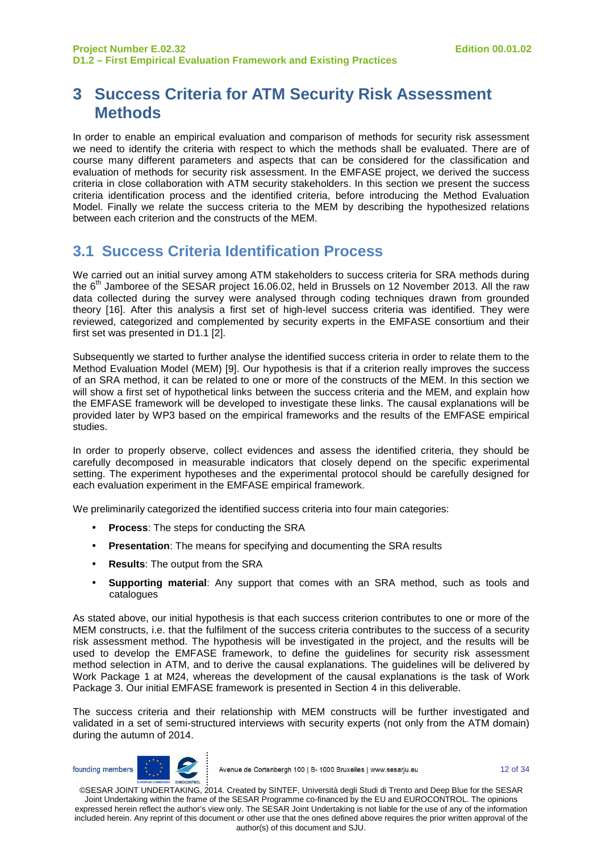### **3 Success Criteria for ATM Security Risk Assessment Methods**

In order to enable an empirical evaluation and comparison of methods for security risk assessment we need to identify the criteria with respect to which the methods shall be evaluated. There are of course many different parameters and aspects that can be considered for the classification and evaluation of methods for security risk assessment. In the EMFASE project, we derived the success criteria in close collaboration with ATM security stakeholders. In this section we present the success criteria identification process and the identified criteria, before introducing the Method Evaluation Model. Finally we relate the success criteria to the MEM by describing the hypothesized relations between each criterion and the constructs of the MEM.

### **3.1 Success Criteria Identification Process**

We carried out an initial survey among ATM stakeholders to success criteria for SRA methods during the 6<sup>th</sup> Jamboree of the SESAR project 16.06.02, held in Brussels on 12 November 2013. All the raw data collected during the survey were analysed through coding techniques drawn from grounded theory [16]. After this analysis a first set of high-level success criteria was identified. They were reviewed, categorized and complemented by security experts in the EMFASE consortium and their first set was presented in D1.1 [2].

Subsequently we started to further analyse the identified success criteria in order to relate them to the Method Evaluation Model (MEM) [9]. Our hypothesis is that if a criterion really improves the success of an SRA method, it can be related to one or more of the constructs of the MEM. In this section we will show a first set of hypothetical links between the success criteria and the MEM, and explain how the EMFASE framework will be developed to investigate these links. The causal explanations will be provided later by WP3 based on the empirical frameworks and the results of the EMFASE empirical studies.

In order to properly observe, collect evidences and assess the identified criteria, they should be carefully decomposed in measurable indicators that closely depend on the specific experimental setting. The experiment hypotheses and the experimental protocol should be carefully designed for each evaluation experiment in the EMFASE empirical framework.

We preliminarily categorized the identified success criteria into four main categories:

- **Process**: The steps for conducting the SRA
- **Presentation**: The means for specifying and documenting the SRA results
- **Results**: The output from the SRA
- **Supporting material**: Any support that comes with an SRA method, such as tools and catalogues

As stated above, our initial hypothesis is that each success criterion contributes to one or more of the MEM constructs, i.e. that the fulfilment of the success criteria contributes to the success of a security risk assessment method. The hypothesis will be investigated in the project, and the results will be used to develop the EMFASE framework, to define the guidelines for security risk assessment method selection in ATM, and to derive the causal explanations. The guidelines will be delivered by Work Package 1 at M24, whereas the development of the causal explanations is the task of Work Package 3. Our initial EMFASE framework is presented in Section 4 in this deliverable.

The success criteria and their relationship with MEM constructs will be further investigated and validated in a set of semi-structured interviews with security experts (not only from the ATM domain) during the autumn of 2014.



Avenue de Cortenbergh 100 | B- 1000 Bruxelles | www.sesarju.eu

12 of 34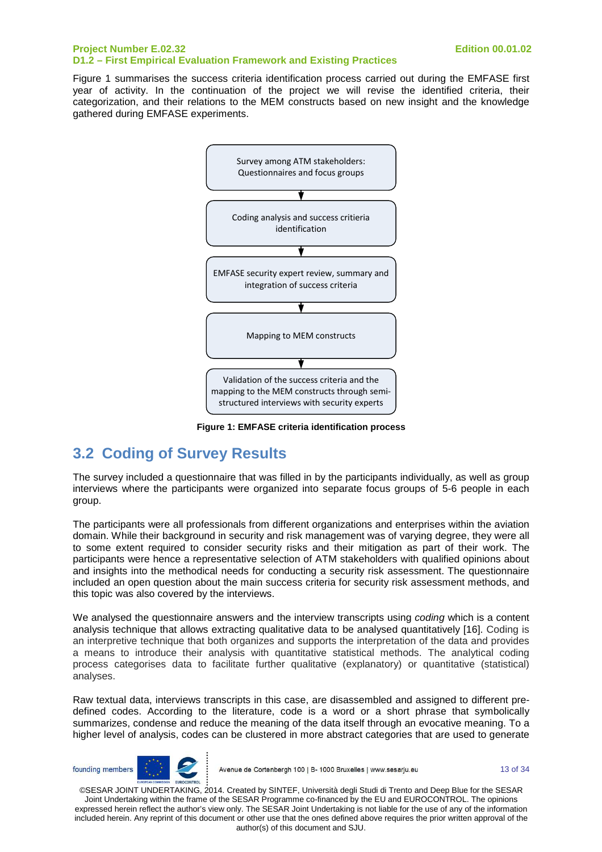Figure 1 summarises the success criteria identification process carried out during the EMFASE first year of activity. In the continuation of the project we will revise the identified criteria, their categorization, and their relations to the MEM constructs based on new insight and the knowledge gathered during EMFASE experiments.



**Figure 1: EMFASE criteria identification process** 

# **3.2 Coding of Survey Results**

The survey included a questionnaire that was filled in by the participants individually, as well as group interviews where the participants were organized into separate focus groups of 5-6 people in each group.

The participants were all professionals from different organizations and enterprises within the aviation domain. While their background in security and risk management was of varying degree, they were all to some extent required to consider security risks and their mitigation as part of their work. The participants were hence a representative selection of ATM stakeholders with qualified opinions about and insights into the methodical needs for conducting a security risk assessment. The questionnaire included an open question about the main success criteria for security risk assessment methods, and this topic was also covered by the interviews.

We analysed the questionnaire answers and the interview transcripts using coding which is a content analysis technique that allows extracting qualitative data to be analysed quantitatively [16]. Coding is an interpretive technique that both organizes and supports the interpretation of the data and provides a means to introduce their analysis with quantitative statistical methods. The analytical coding process categorises data to facilitate further qualitative (explanatory) or quantitative (statistical) analyses.

Raw textual data, interviews transcripts in this case, are disassembled and assigned to different predefined codes. According to the literature, code is a word or a short phrase that symbolically summarizes, condense and reduce the meaning of the data itself through an evocative meaning. To a higher level of analysis, codes can be clustered in more abstract categories that are used to generate



Avenue de Cortenbergh 100 | B- 1000 Bruxelles | www.sesarju.eu

13 of 34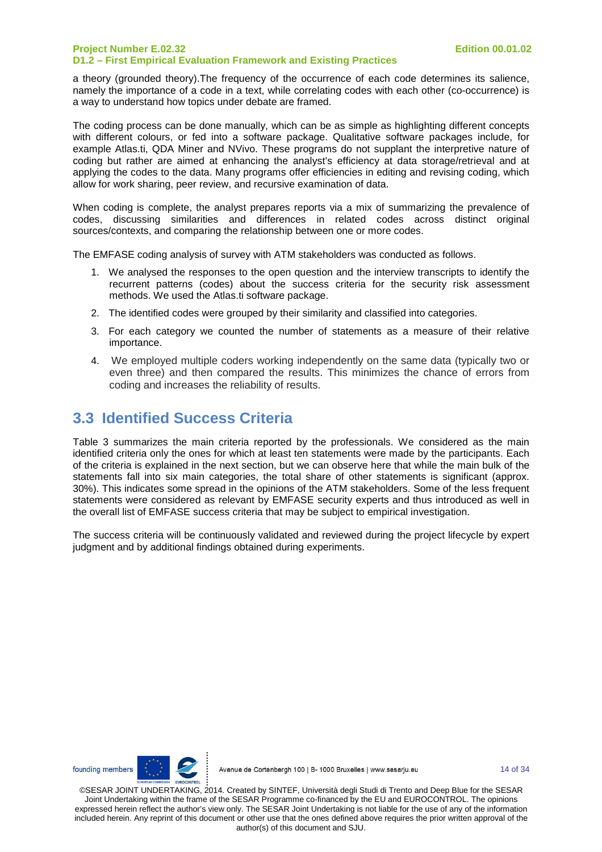a theory (grounded theory).The frequency of the occurrence of each code determines its salience, namely the importance of a code in a text, while correlating codes with each other (co-occurrence) is a way to understand how topics under debate are framed.

The coding process can be done manually, which can be as simple as highlighting different concepts with different colours, or fed into a software package. Qualitative software packages include, for example Atlas.ti, QDA Miner and NVivo. These programs do not supplant the interpretive nature of coding but rather are aimed at enhancing the analyst's efficiency at data storage/retrieval and at applying the codes to the data. Many programs offer efficiencies in editing and revising coding, which allow for work sharing, peer review, and recursive examination of data.

When coding is complete, the analyst prepares reports via a mix of summarizing the prevalence of codes, discussing similarities and differences in related codes across distinct original sources/contexts, and comparing the relationship between one or more codes.

The EMFASE coding analysis of survey with ATM stakeholders was conducted as follows.

- 1. We analysed the responses to the open question and the interview transcripts to identify the recurrent patterns (codes) about the success criteria for the security risk assessment methods. We used the Atlas.ti software package.
- 2. The identified codes were grouped by their similarity and classified into categories.
- 3. For each category we counted the number of statements as a measure of their relative importance.
- 4. We employed multiple coders working independently on the same data (typically two or even three) and then compared the results. This minimizes the chance of errors from coding and increases the reliability of results.

### **3.3 Identified Success Criteria**

Table 3 summarizes the main criteria reported by the professionals. We considered as the main identified criteria only the ones for which at least ten statements were made by the participants. Each of the criteria is explained in the next section, but we can observe here that while the main bulk of the statements fall into six main categories, the total share of other statements is significant (approx. 30%). This indicates some spread in the opinions of the ATM stakeholders. Some of the less frequent statements were considered as relevant by EMFASE security experts and thus introduced as well in the overall list of EMFASE success criteria that may be subject to empirical investigation.

The success criteria will be continuously validated and reviewed during the project lifecycle by expert judgment and by additional findings obtained during experiments.

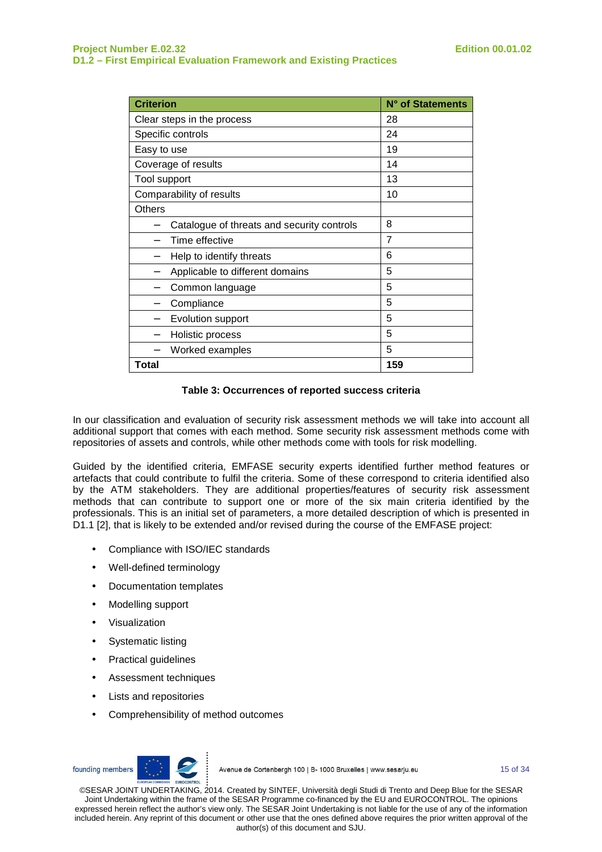| <b>Criterion</b>                           | N° of Statements |  |  |  |
|--------------------------------------------|------------------|--|--|--|
| Clear steps in the process                 | 28               |  |  |  |
| Specific controls                          | 24               |  |  |  |
| Easy to use                                | 19               |  |  |  |
| Coverage of results                        | 14               |  |  |  |
| Tool support                               | 13               |  |  |  |
| Comparability of results                   | 10               |  |  |  |
| <b>Others</b>                              |                  |  |  |  |
| Catalogue of threats and security controls | 8                |  |  |  |
| Time effective                             | 7                |  |  |  |
| Help to identify threats                   | 6                |  |  |  |
| Applicable to different domains            | 5                |  |  |  |
| Common language                            | 5                |  |  |  |
| Compliance                                 | 5                |  |  |  |
| Evolution support                          | 5                |  |  |  |
| Holistic process                           | 5                |  |  |  |
| Worked examples                            | 5                |  |  |  |
| Total                                      | 159              |  |  |  |

#### **Table 3: Occurrences of reported success criteria**

In our classification and evaluation of security risk assessment methods we will take into account all additional support that comes with each method. Some security risk assessment methods come with repositories of assets and controls, while other methods come with tools for risk modelling.

Guided by the identified criteria, EMFASE security experts identified further method features or artefacts that could contribute to fulfil the criteria. Some of these correspond to criteria identified also by the ATM stakeholders. They are additional properties/features of security risk assessment methods that can contribute to support one or more of the six main criteria identified by the professionals. This is an initial set of parameters, a more detailed description of which is presented in D1.1 [2], that is likely to be extended and/or revised during the course of the EMFASE project:

- Compliance with ISO/IEC standards
- Well-defined terminology
- Documentation templates
- Modelling support
- Visualization
- Systematic listing
- Practical guidelines
- Assessment techniques
- Lists and repositories
- Comprehensibility of method outcomes



Avenue de Cortenbergh 100 | B- 1000 Bruxelles | www.sesarju.eu

15 of 34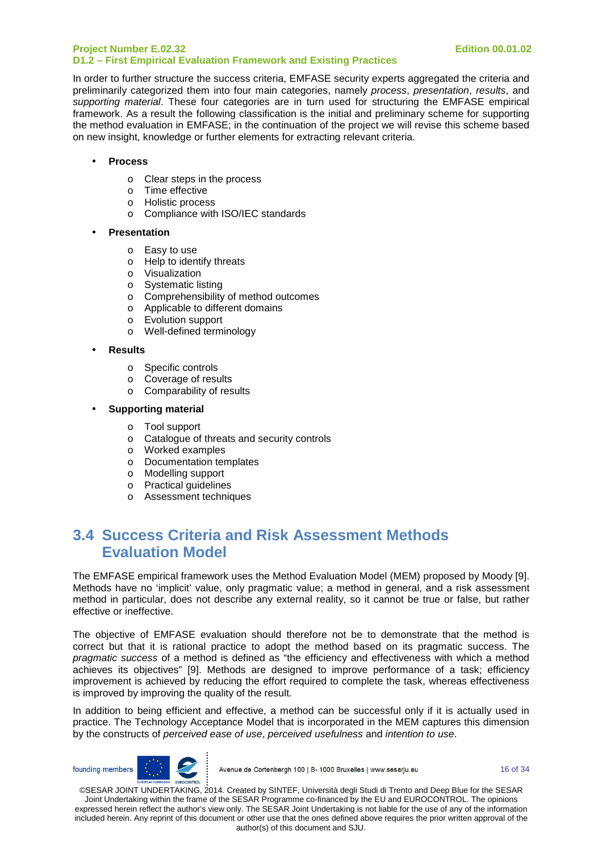In order to further structure the success criteria, EMFASE security experts aggregated the criteria and preliminarily categorized them into four main categories, namely process, presentation, results, and supporting material. These four categories are in turn used for structuring the EMFASE empirical framework. As a result the following classification is the initial and preliminary scheme for supporting the method evaluation in EMFASE; in the continuation of the project we will revise this scheme based on new insight, knowledge or further elements for extracting relevant criteria.

- **Process** 
	- o Clear steps in the process
	- o Time effective
	- o Holistic process
	- o Compliance with ISO/IEC standards

#### • **Presentation**

- o Easy to use
- o Help to identify threats
- o Visualization
- o Systematic listing
- o Comprehensibility of method outcomes
- o Applicable to different domains
- o Evolution support
- o Well-defined terminology
- **Results** 
	- o Specific controls
	- o Coverage of results
	- o Comparability of results

#### • **Supporting material**

- o Tool support
- o Catalogue of threats and security controls
- o Worked examples
- o Documentation templates
- o Modelling support
- o Practical guidelines
- o Assessment techniques

### **3.4 Success Criteria and Risk Assessment Methods Evaluation Model**

The EMFASE empirical framework uses the Method Evaluation Model (MEM) proposed by Moody [9]. Methods have no 'implicit' value, only pragmatic value; a method in general, and a risk assessment method in particular, does not describe any external reality, so it cannot be true or false, but rather effective or ineffective.

The objective of EMFASE evaluation should therefore not be to demonstrate that the method is correct but that it is rational practice to adopt the method based on its pragmatic success. The pragmatic success of a method is defined as "the efficiency and effectiveness with which a method achieves its objectives" [9]. Methods are designed to improve performance of a task; efficiency improvement is achieved by reducing the effort required to complete the task, whereas effectiveness is improved by improving the quality of the result.

In addition to being efficient and effective, a method can be successful only if it is actually used in practice. The Technology Acceptance Model that is incorporated in the MEM captures this dimension by the constructs of perceived ease of use, perceived usefulness and intention to use.



Avenue de Cortenbergh 100 | B- 1000 Bruxelles | www.sesarju.eu

16 of 34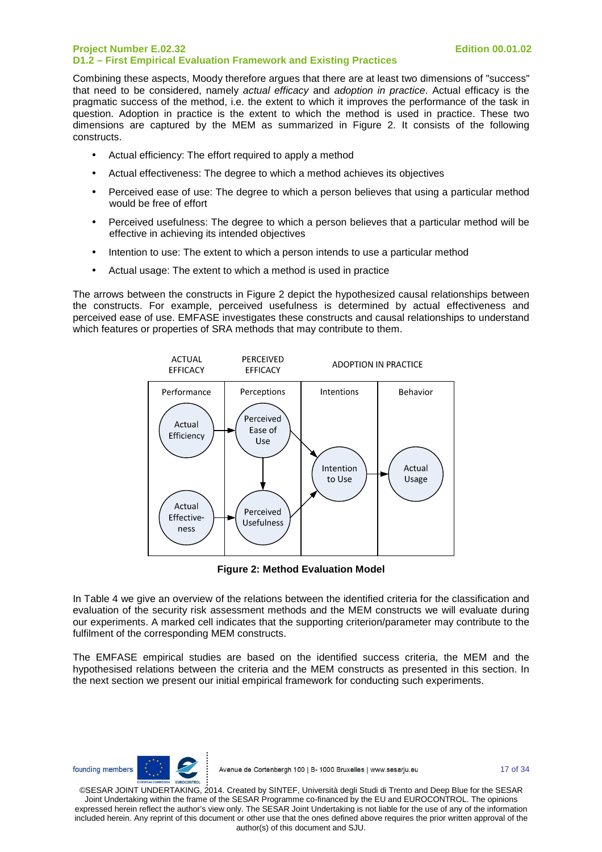Combining these aspects, Moody therefore argues that there are at least two dimensions of "success" that need to be considered, namely actual efficacy and adoption in practice. Actual efficacy is the pragmatic success of the method, i.e. the extent to which it improves the performance of the task in question. Adoption in practice is the extent to which the method is used in practice. These two dimensions are captured by the MEM as summarized in Figure 2. It consists of the following constructs.

- Actual efficiency: The effort required to apply a method
- Actual effectiveness: The degree to which a method achieves its objectives
- Perceived ease of use: The degree to which a person believes that using a particular method would be free of effort
- Perceived usefulness: The degree to which a person believes that a particular method will be effective in achieving its intended objectives
- Intention to use: The extent to which a person intends to use a particular method
- Actual usage: The extent to which a method is used in practice

The arrows between the constructs in Figure 2 depict the hypothesized causal relationships between the constructs. For example, perceived usefulness is determined by actual effectiveness and perceived ease of use. EMFASE investigates these constructs and causal relationships to understand which features or properties of SRA methods that may contribute to them.



**Figure 2: Method Evaluation Model** 

In Table 4 we give an overview of the relations between the identified criteria for the classification and evaluation of the security risk assessment methods and the MEM constructs we will evaluate during our experiments. A marked cell indicates that the supporting criterion/parameter may contribute to the fulfilment of the corresponding MEM constructs.

The EMFASE empirical studies are based on the identified success criteria, the MEM and the hypothesised relations between the criteria and the MEM constructs as presented in this section. In the next section we present our initial empirical framework for conducting such experiments.

founding members

Avenue de Cortenbergh 100 | B- 1000 Bruxelles | www.sesarju.eu

17 of 34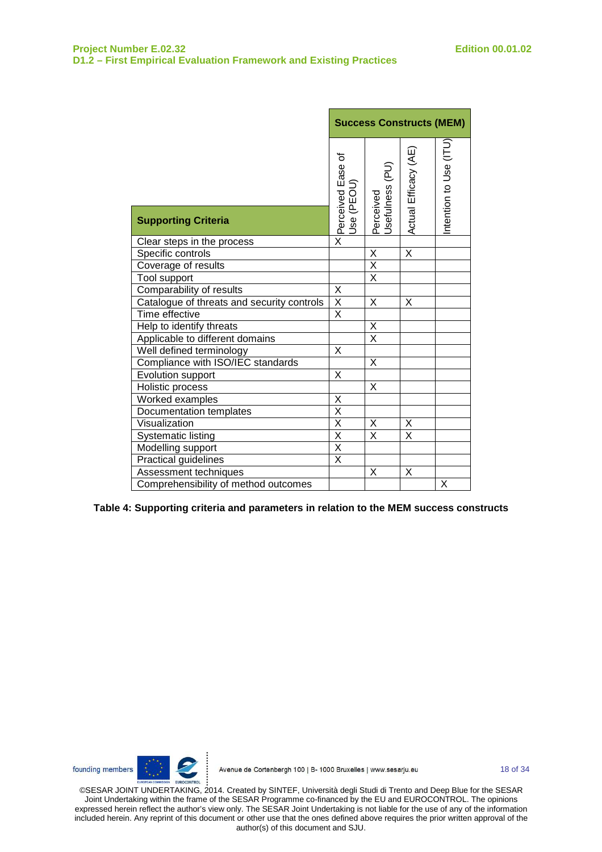|                                                 | <b>Success Constructs (MEM)</b>     |                              |                         |                       |  |  |
|-------------------------------------------------|-------------------------------------|------------------------------|-------------------------|-----------------------|--|--|
| <b>Supporting Criteria</b>                      | Perceived Ease of<br>Jse (PEOU)     | Jsefulness (PU)<br>Perceived | Actual Efficacy (AE)    | ntention to Use (ITU) |  |  |
|                                                 | $\overline{\mathsf{x}}$             |                              |                         |                       |  |  |
| Clear steps in the process<br>Specific controls |                                     | X                            | X                       |                       |  |  |
| Coverage of results                             |                                     | X                            |                         |                       |  |  |
| Tool support                                    |                                     | $\overline{\mathsf{x}}$      |                         |                       |  |  |
| Comparability of results                        | Χ                                   |                              |                         |                       |  |  |
| Catalogue of threats and security controls      | $\overline{\mathsf{x}}$             | X                            | X                       |                       |  |  |
| Time effective                                  | X                                   |                              |                         |                       |  |  |
| Help to identify threats                        |                                     | X                            |                         |                       |  |  |
| Applicable to different domains                 |                                     | X                            |                         |                       |  |  |
| Well defined terminology                        | X                                   |                              |                         |                       |  |  |
| Compliance with ISO/IEC standards               |                                     | X                            |                         |                       |  |  |
| Evolution support                               | X                                   |                              |                         |                       |  |  |
| Holistic process                                |                                     | X                            |                         |                       |  |  |
| Worked examples                                 | X                                   |                              |                         |                       |  |  |
| Documentation templates                         | $\overline{\mathsf{X}}$             |                              |                         |                       |  |  |
| Visualization                                   | X                                   | X                            | X                       |                       |  |  |
| Systematic listing                              | $\frac{\overline{X}}{\overline{X}}$ | $\overline{\mathsf{x}}$      | $\overline{\mathsf{x}}$ |                       |  |  |
| Modelling support                               |                                     |                              |                         |                       |  |  |
| Practical guidelines                            | $\overline{\mathsf{x}}$             |                              |                         |                       |  |  |
| Assessment techniques                           |                                     | X                            | X                       |                       |  |  |
| Comprehensibility of method outcomes            |                                     |                              |                         | X                     |  |  |

**Table 4: Supporting criteria and parameters in relation to the MEM success constructs** 

founding members



18 of 34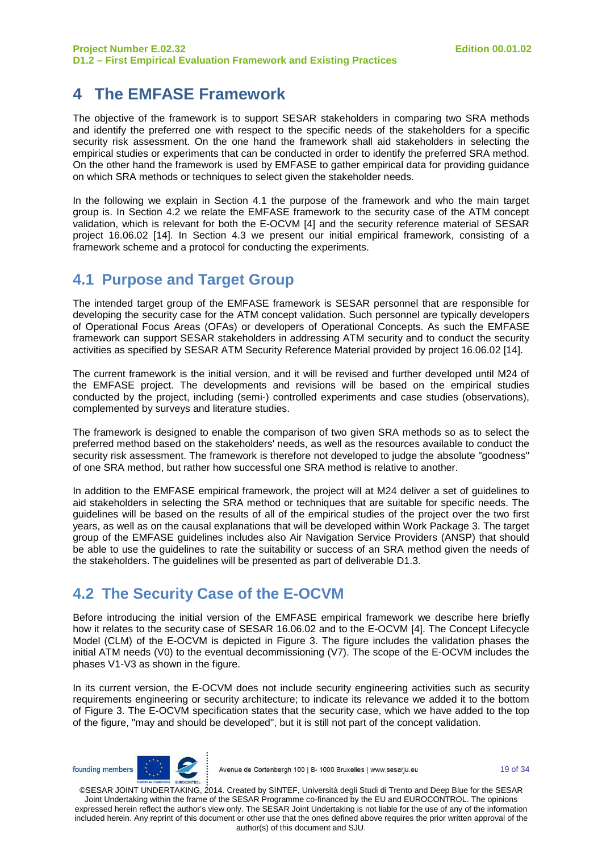# **4 The EMFASE Framework**

The objective of the framework is to support SESAR stakeholders in comparing two SRA methods and identify the preferred one with respect to the specific needs of the stakeholders for a specific security risk assessment. On the one hand the framework shall aid stakeholders in selecting the empirical studies or experiments that can be conducted in order to identify the preferred SRA method. On the other hand the framework is used by EMFASE to gather empirical data for providing guidance on which SRA methods or techniques to select given the stakeholder needs.

In the following we explain in Section 4.1 the purpose of the framework and who the main target group is. In Section 4.2 we relate the EMFASE framework to the security case of the ATM concept validation, which is relevant for both the E-OCVM [4] and the security reference material of SESAR project 16.06.02 [14]. In Section 4.3 we present our initial empirical framework, consisting of a framework scheme and a protocol for conducting the experiments.

### **4.1 Purpose and Target Group**

The intended target group of the EMFASE framework is SESAR personnel that are responsible for developing the security case for the ATM concept validation. Such personnel are typically developers of Operational Focus Areas (OFAs) or developers of Operational Concepts. As such the EMFASE framework can support SESAR stakeholders in addressing ATM security and to conduct the security activities as specified by SESAR ATM Security Reference Material provided by project 16.06.02 [14].

The current framework is the initial version, and it will be revised and further developed until M24 of the EMFASE project. The developments and revisions will be based on the empirical studies conducted by the project, including (semi-) controlled experiments and case studies (observations), complemented by surveys and literature studies.

The framework is designed to enable the comparison of two given SRA methods so as to select the preferred method based on the stakeholders' needs, as well as the resources available to conduct the security risk assessment. The framework is therefore not developed to judge the absolute "goodness" of one SRA method, but rather how successful one SRA method is relative to another.

In addition to the EMFASE empirical framework, the project will at M24 deliver a set of guidelines to aid stakeholders in selecting the SRA method or techniques that are suitable for specific needs. The guidelines will be based on the results of all of the empirical studies of the project over the two first years, as well as on the causal explanations that will be developed within Work Package 3. The target group of the EMFASE guidelines includes also Air Navigation Service Providers (ANSP) that should be able to use the guidelines to rate the suitability or success of an SRA method given the needs of the stakeholders. The guidelines will be presented as part of deliverable D1.3.

# **4.2 The Security Case of the E-OCVM**

Before introducing the initial version of the EMFASE empirical framework we describe here briefly how it relates to the security case of SESAR 16.06.02 and to the E-OCVM [4]. The Concept Lifecycle Model (CLM) of the E-OCVM is depicted in Figure 3. The figure includes the validation phases the initial ATM needs (V0) to the eventual decommissioning (V7). The scope of the E-OCVM includes the phases V1-V3 as shown in the figure.

In its current version, the E-OCVM does not include security engineering activities such as security requirements engineering or security architecture; to indicate its relevance we added it to the bottom of Figure 3. The E-OCVM specification states that the security case, which we have added to the top of the figure, "may and should be developed", but it is still not part of the concept validation.



Avenue de Cortenbergh 100 | B- 1000 Bruxelles | www.sesarju.eu

19 of 34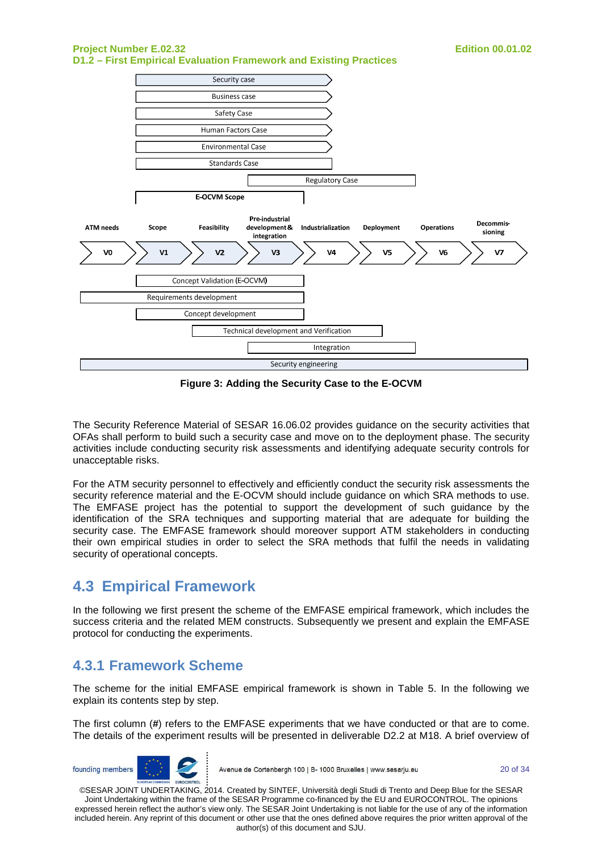

**Figure 3: Adding the Security Case to the E-OCVM** 

The Security Reference Material of SESAR 16.06.02 provides guidance on the security activities that OFAs shall perform to build such a security case and move on to the deployment phase. The security activities include conducting security risk assessments and identifying adequate security controls for unacceptable risks.

For the ATM security personnel to effectively and efficiently conduct the security risk assessments the security reference material and the E-OCVM should include guidance on which SRA methods to use. The EMFASE project has the potential to support the development of such guidance by the identification of the SRA techniques and supporting material that are adequate for building the security case. The EMFASE framework should moreover support ATM stakeholders in conducting their own empirical studies in order to select the SRA methods that fulfil the needs in validating security of operational concepts.

### **4.3 Empirical Framework**

In the following we first present the scheme of the EMFASE empirical framework, which includes the success criteria and the related MEM constructs. Subsequently we present and explain the EMFASE protocol for conducting the experiments.

### **4.3.1 Framework Scheme**

The scheme for the initial EMFASE empirical framework is shown in Table 5. In the following we explain its contents step by step.

The first column (**#**) refers to the EMFASE experiments that we have conducted or that are to come. The details of the experiment results will be presented in deliverable D2.2 at M18. A brief overview of



Avenue de Cortenbergh 100 | B- 1000 Bruxelles | www.sesarju.eu

20 of 34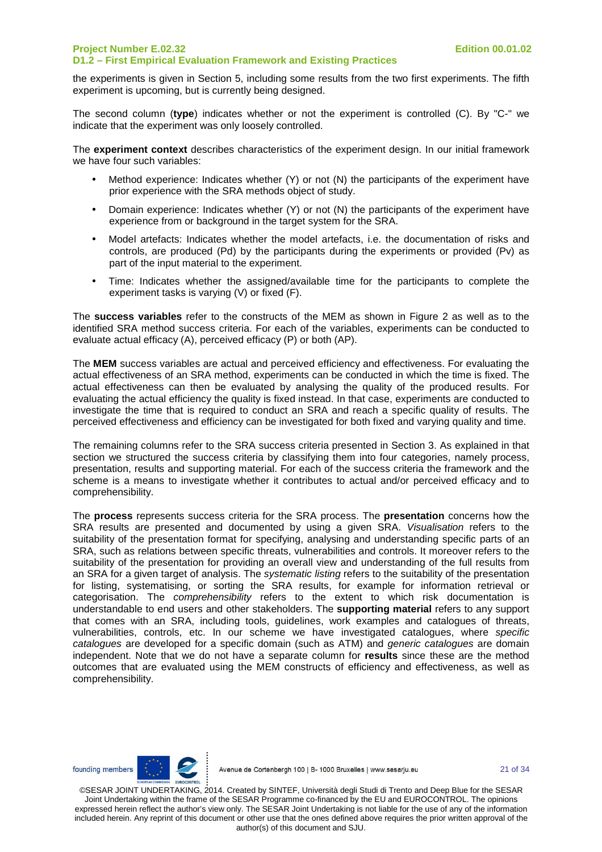the experiments is given in Section 5, including some results from the two first experiments. The fifth experiment is upcoming, but is currently being designed.

The second column (**type**) indicates whether or not the experiment is controlled (C). By "C-" we indicate that the experiment was only loosely controlled.

The **experiment context** describes characteristics of the experiment design. In our initial framework we have four such variables:

- Method experience: Indicates whether (Y) or not (N) the participants of the experiment have prior experience with the SRA methods object of study.
- Domain experience: Indicates whether (Y) or not (N) the participants of the experiment have experience from or background in the target system for the SRA.
- Model artefacts: Indicates whether the model artefacts, i.e. the documentation of risks and controls, are produced (Pd) by the participants during the experiments or provided (Pv) as part of the input material to the experiment.
- Time: Indicates whether the assigned/available time for the participants to complete the experiment tasks is varying (V) or fixed (F).

The **success variables** refer to the constructs of the MEM as shown in Figure 2 as well as to the identified SRA method success criteria. For each of the variables, experiments can be conducted to evaluate actual efficacy (A), perceived efficacy (P) or both (AP).

The **MEM** success variables are actual and perceived efficiency and effectiveness. For evaluating the actual effectiveness of an SRA method, experiments can be conducted in which the time is fixed. The actual effectiveness can then be evaluated by analysing the quality of the produced results. For evaluating the actual efficiency the quality is fixed instead. In that case, experiments are conducted to investigate the time that is required to conduct an SRA and reach a specific quality of results. The perceived effectiveness and efficiency can be investigated for both fixed and varying quality and time.

The remaining columns refer to the SRA success criteria presented in Section 3. As explained in that section we structured the success criteria by classifying them into four categories, namely process, presentation, results and supporting material. For each of the success criteria the framework and the scheme is a means to investigate whether it contributes to actual and/or perceived efficacy and to comprehensibility.

The **process** represents success criteria for the SRA process. The **presentation** concerns how the SRA results are presented and documented by using a given SRA. Visualisation refers to the suitability of the presentation format for specifying, analysing and understanding specific parts of an SRA, such as relations between specific threats, vulnerabilities and controls. It moreover refers to the suitability of the presentation for providing an overall view and understanding of the full results from an SRA for a given target of analysis. The *systematic listing* refers to the suitability of the presentation for listing, systematising, or sorting the SRA results, for example for information retrieval or categorisation. The comprehensibility refers to the extent to which risk documentation is understandable to end users and other stakeholders. The **supporting material** refers to any support that comes with an SRA, including tools, guidelines, work examples and catalogues of threats, vulnerabilities, controls, etc. In our scheme we have investigated catalogues, where specific catalogues are developed for a specific domain (such as ATM) and *generic catalogues* are domain independent. Note that we do not have a separate column for **results** since these are the method outcomes that are evaluated using the MEM constructs of efficiency and effectiveness, as well as comprehensibility.

founding members

Avenue de Cortenbergh 100 | B- 1000 Bruxelles | www.sesarju.eu

21 of 34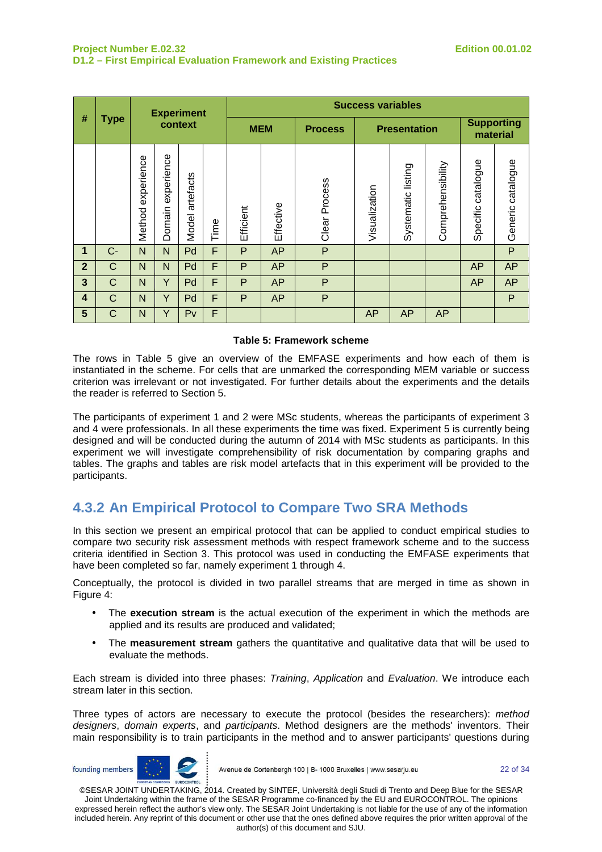|                | <b>Type</b>  |                      |                      |                    |            | <b>Experiment</b> |                |                     |               |                    | <b>Success variables</b>      |                       |                   |  |
|----------------|--------------|----------------------|----------------------|--------------------|------------|-------------------|----------------|---------------------|---------------|--------------------|-------------------------------|-----------------------|-------------------|--|
| #              |              | context              |                      |                    | <b>MEM</b> |                   | <b>Process</b> | <b>Presentation</b> |               |                    | <b>Supporting</b><br>material |                       |                   |  |
|                |              | experience<br>Method | experience<br>Domain | artefacts<br>Model | Time       | Efficient         | Effective      | Clear Process       | Visualization | Systematic listing | Comprehensibility             | catalogue<br>Specific | Generic catalogue |  |
| 1              | $C -$        | N                    | N                    | Pd                 | F          | P                 | <b>AP</b>      | $\mathsf{P}$        |               |                    |                               |                       | $\mathsf{P}$      |  |
| $\overline{2}$ | $\mathsf{C}$ | $\mathsf{N}$         | N.                   | Pd                 | F          | P                 | <b>AP</b>      | P                   |               |                    |                               | <b>AP</b>             | <b>AP</b>         |  |
| $\mathbf{3}$   | $\mathsf{C}$ | N                    | Y                    | Pd                 | F          | P                 | <b>AP</b>      | P                   |               |                    |                               | <b>AP</b>             | <b>AP</b>         |  |
| 4              | $\mathsf{C}$ | N                    | Y                    | Pd                 | F          | P                 | <b>AP</b>      | P                   |               |                    |                               |                       | P                 |  |
| 5              | $\mathsf C$  | $\mathsf{N}$         | Y                    | Pv                 | F          |                   |                |                     | <b>AP</b>     | <b>AP</b>          | <b>AP</b>                     |                       |                   |  |

#### **Table 5: Framework scheme**

The rows in Table 5 give an overview of the EMFASE experiments and how each of them is instantiated in the scheme. For cells that are unmarked the corresponding MEM variable or success criterion was irrelevant or not investigated. For further details about the experiments and the details the reader is referred to Section 5.

The participants of experiment 1 and 2 were MSc students, whereas the participants of experiment 3 and 4 were professionals. In all these experiments the time was fixed. Experiment 5 is currently being designed and will be conducted during the autumn of 2014 with MSc students as participants. In this experiment we will investigate comprehensibility of risk documentation by comparing graphs and tables. The graphs and tables are risk model artefacts that in this experiment will be provided to the participants.

### **4.3.2 An Empirical Protocol to Compare Two SRA Methods**

In this section we present an empirical protocol that can be applied to conduct empirical studies to compare two security risk assessment methods with respect framework scheme and to the success criteria identified in Section 3. This protocol was used in conducting the EMFASE experiments that have been completed so far, namely experiment 1 through 4.

Conceptually, the protocol is divided in two parallel streams that are merged in time as shown in Figure 4:

- The **execution stream** is the actual execution of the experiment in which the methods are applied and its results are produced and validated;
- The **measurement stream** gathers the quantitative and qualitative data that will be used to evaluate the methods.

Each stream is divided into three phases: Training, Application and Evaluation. We introduce each stream later in this section.

Three types of actors are necessary to execute the protocol (besides the researchers): method designers, domain experts, and participants. Method designers are the methods' inventors. Their main responsibility is to train participants in the method and to answer participants' questions during

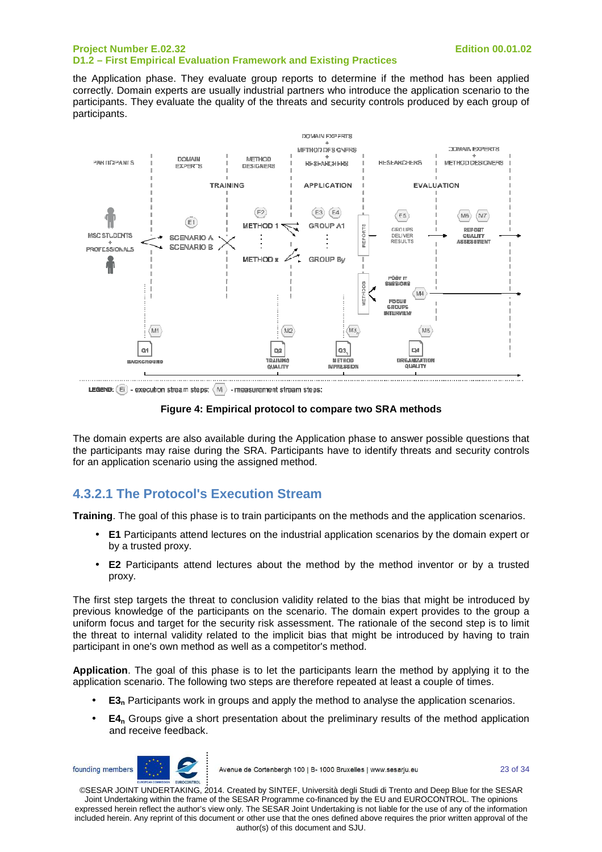the Application phase. They evaluate group reports to determine if the method has been applied correctly. Domain experts are usually industrial partners who introduce the application scenario to the participants. They evaluate the quality of the threats and security controls produced by each group of participants.



### **Figure 4: Empirical protocol to compare two SRA methods**

The domain experts are also available during the Application phase to answer possible questions that the participants may raise during the SRA. Participants have to identify threats and security controls for an application scenario using the assigned method.

### **4.3.2.1 The Protocol's Execution Stream**

**Training**. The goal of this phase is to train participants on the methods and the application scenarios.

- **E1** Participants attend lectures on the industrial application scenarios by the domain expert or by a trusted proxy.
- **E2** Participants attend lectures about the method by the method inventor or by a trusted proxy.

The first step targets the threat to conclusion validity related to the bias that might be introduced by previous knowledge of the participants on the scenario. The domain expert provides to the group a uniform focus and target for the security risk assessment. The rationale of the second step is to limit the threat to internal validity related to the implicit bias that might be introduced by having to train participant in one's own method as well as a competitor's method.

**Application**. The goal of this phase is to let the participants learn the method by applying it to the application scenario. The following two steps are therefore repeated at least a couple of times.

- **E3n** Participants work in groups and apply the method to analyse the application scenarios.
- **E4n** Groups give a short presentation about the preliminary results of the method application and receive feedback.



Avenue de Cortenbergh 100 | B- 1000 Bruxelles | www.sesarju.eu

23 of 34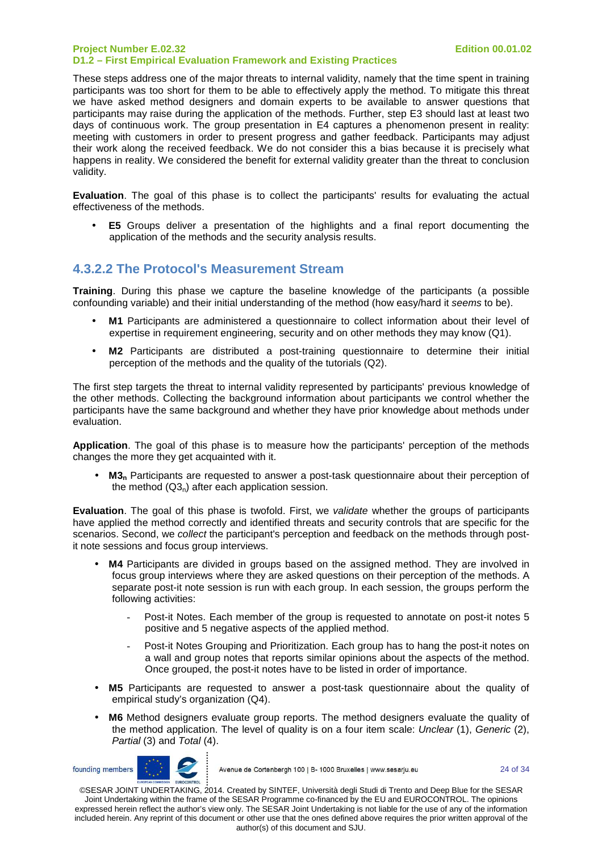These steps address one of the major threats to internal validity, namely that the time spent in training participants was too short for them to be able to effectively apply the method. To mitigate this threat we have asked method designers and domain experts to be available to answer questions that participants may raise during the application of the methods. Further, step E3 should last at least two days of continuous work. The group presentation in E4 captures a phenomenon present in reality: meeting with customers in order to present progress and gather feedback. Participants may adjust their work along the received feedback. We do not consider this a bias because it is precisely what happens in reality. We considered the benefit for external validity greater than the threat to conclusion validity.

**Evaluation**. The goal of this phase is to collect the participants' results for evaluating the actual effectiveness of the methods.

• **E5** Groups deliver a presentation of the highlights and a final report documenting the application of the methods and the security analysis results.

### **4.3.2.2 The Protocol's Measurement Stream**

**Training**. During this phase we capture the baseline knowledge of the participants (a possible confounding variable) and their initial understanding of the method (how easy/hard it seems to be).

- **M1** Participants are administered a questionnaire to collect information about their level of expertise in requirement engineering, security and on other methods they may know (Q1).
- **M2** Participants are distributed a post-training questionnaire to determine their initial perception of the methods and the quality of the tutorials (Q2).

The first step targets the threat to internal validity represented by participants' previous knowledge of the other methods. Collecting the background information about participants we control whether the participants have the same background and whether they have prior knowledge about methods under evaluation.

**Application**. The goal of this phase is to measure how the participants' perception of the methods changes the more they get acquainted with it.

• **M3n** Participants are requested to answer a post-task questionnaire about their perception of the method  $(Q3<sub>n</sub>)$  after each application session.

**Evaluation**. The goal of this phase is twofold. First, we validate whether the groups of participants have applied the method correctly and identified threats and security controls that are specific for the scenarios. Second, we collect the participant's perception and feedback on the methods through postit note sessions and focus group interviews.

- **M4** Participants are divided in groups based on the assigned method. They are involved in focus group interviews where they are asked questions on their perception of the methods. A separate post-it note session is run with each group. In each session, the groups perform the following activities:
	- Post-it Notes. Each member of the group is requested to annotate on post-it notes 5 positive and 5 negative aspects of the applied method.
	- Post-it Notes Grouping and Prioritization. Each group has to hang the post-it notes on a wall and group notes that reports similar opinions about the aspects of the method. Once grouped, the post-it notes have to be listed in order of importance.
- **M5** Participants are requested to answer a post-task questionnaire about the quality of empirical study's organization (Q4).
- **M6** Method designers evaluate group reports. The method designers evaluate the quality of the method application. The level of quality is on a four item scale: Unclear (1), Generic (2), Partial (3) and Total (4).



Avenue de Cortenbergh 100 | B- 1000 Bruxelles | www.sesarju.eu

24 of 34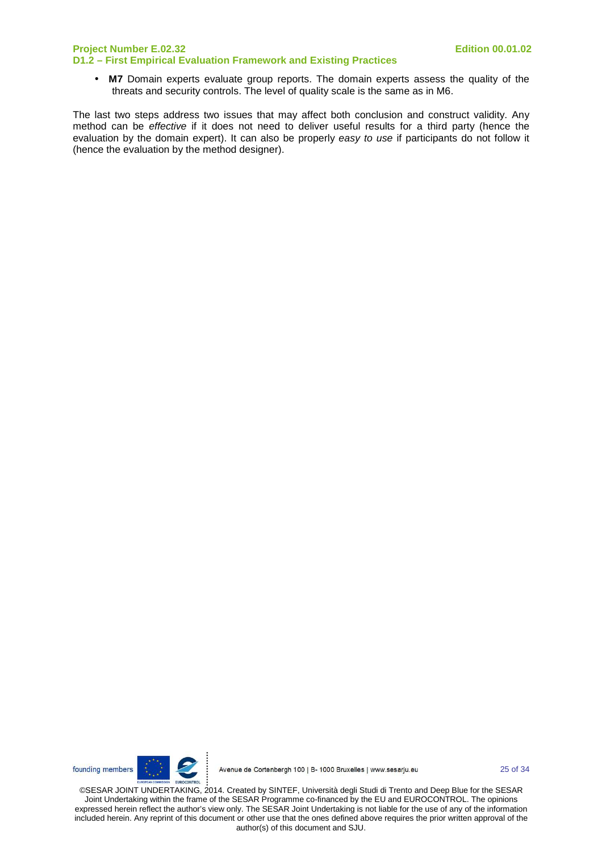• **M7** Domain experts evaluate group reports. The domain experts assess the quality of the threats and security controls. The level of quality scale is the same as in M6.

The last two steps address two issues that may affect both conclusion and construct validity. Any method can be effective if it does not need to deliver useful results for a third party (hence the evaluation by the domain expert). It can also be properly easy to use if participants do not follow it (hence the evaluation by the method designer).

founding members



25 of 34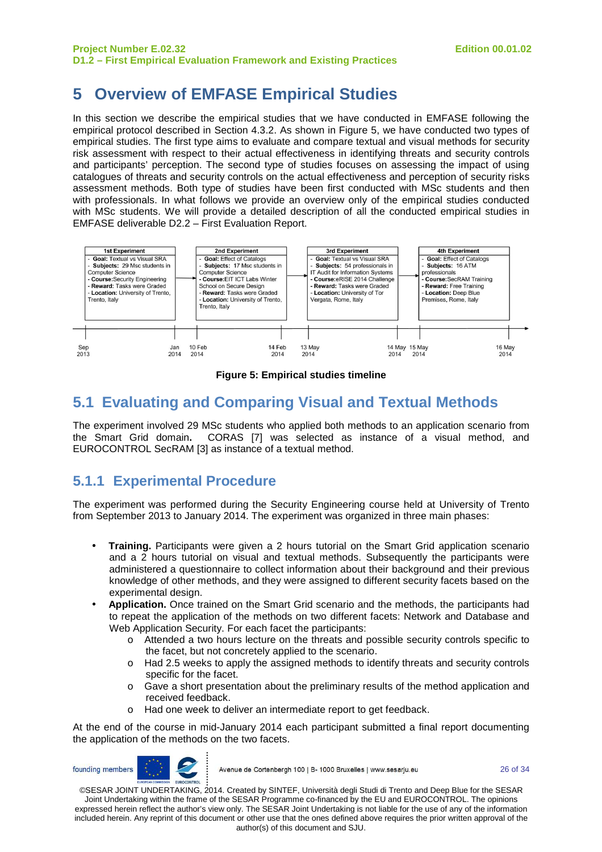# **5 Overview of EMFASE Empirical Studies**

In this section we describe the empirical studies that we have conducted in EMFASE following the empirical protocol described in Section 4.3.2. As shown in Figure 5, we have conducted two types of empirical studies. The first type aims to evaluate and compare textual and visual methods for security risk assessment with respect to their actual effectiveness in identifying threats and security controls and participants' perception. The second type of studies focuses on assessing the impact of using catalogues of threats and security controls on the actual effectiveness and perception of security risks assessment methods. Both type of studies have been first conducted with MSc students and then with professionals. In what follows we provide an overview only of the empirical studies conducted with MSc students. We will provide a detailed description of all the conducted empirical studies in EMFASE deliverable D2.2 – First Evaluation Report.



**Figure 5: Empirical studies timeline** 

### **5.1 Evaluating and Comparing Visual and Textual Methods**

The experiment involved 29 MSc students who applied both methods to an application scenario from the Smart Grid domain**.** CORAS [7] was selected as instance of a visual method, and EUROCONTROL SecRAM [3] as instance of a textual method.

### **5.1.1 Experimental Procedure**

The experiment was performed during the Security Engineering course held at University of Trento from September 2013 to January 2014. The experiment was organized in three main phases:

- **Training.** Participants were given a 2 hours tutorial on the Smart Grid application scenario and a 2 hours tutorial on visual and textual methods. Subsequently the participants were administered a questionnaire to collect information about their background and their previous knowledge of other methods, and they were assigned to different security facets based on the experimental design.
- **Application.** Once trained on the Smart Grid scenario and the methods, the participants had to repeat the application of the methods on two different facets: Network and Database and Web Application Security. For each facet the participants:
	- o Attended a two hours lecture on the threats and possible security controls specific to the facet, but not concretely applied to the scenario.
	- Had 2.5 weeks to apply the assigned methods to identify threats and security controls specific for the facet.
	- Gave a short presentation about the preliminary results of the method application and received feedback.
	- o Had one week to deliver an intermediate report to get feedback.

At the end of the course in mid-January 2014 each participant submitted a final report documenting the application of the methods on the two facets.



Avenue de Cortenbergh 100 | B- 1000 Bruxelles | www.sesarju.eu

26 of 34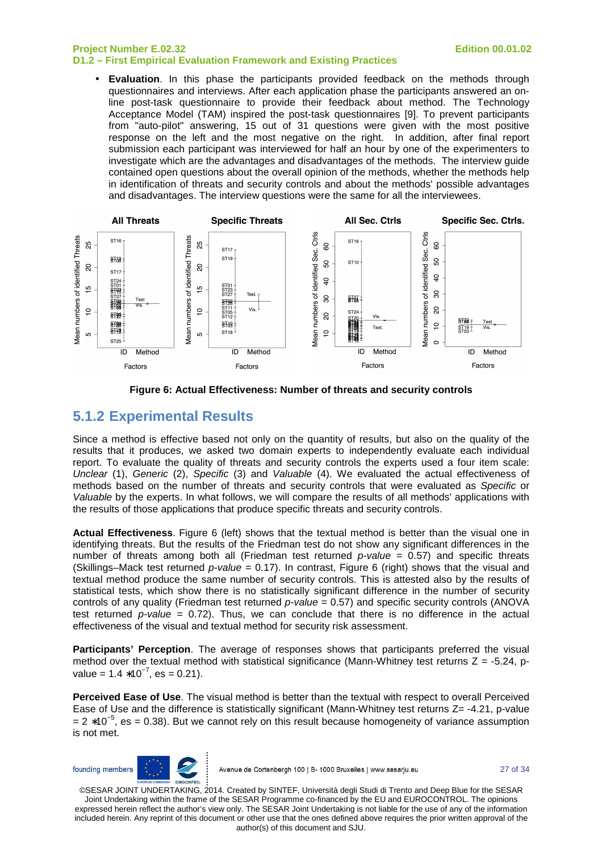**Evaluation**. In this phase the participants provided feedback on the methods through questionnaires and interviews. After each application phase the participants answered an online post-task questionnaire to provide their feedback about method. The Technology Acceptance Model (TAM) inspired the post-task questionnaires [9]. To prevent participants from "auto-pilot" answering, 15 out of 31 questions were given with the most positive response on the left and the most negative on the right. In addition, after final report submission each participant was interviewed for half an hour by one of the experimenters to investigate which are the advantages and disadvantages of the methods. The interview guide contained open questions about the overall opinion of the methods, whether the methods help in identification of threats and security controls and about the methods' possible advantages and disadvantages. The interview questions were the same for all the interviewees.





### **5.1.2 Experimental Results**

Since a method is effective based not only on the quantity of results, but also on the quality of the results that it produces, we asked two domain experts to independently evaluate each individual report. To evaluate the quality of threats and security controls the experts used a four item scale: Unclear (1), Generic (2), Specific (3) and Valuable (4). We evaluated the actual effectiveness of methods based on the number of threats and security controls that were evaluated as Specific or Valuable by the experts. In what follows, we will compare the results of all methods' applications with the results of those applications that produce specific threats and security controls.

**Actual Effectiveness**. Figure 6 (left) shows that the textual method is better than the visual one in identifying threats. But the results of the Friedman test do not show any significant differences in the number of threats among both all (Friedman test returned  $p$ -value = 0.57) and specific threats (Skillings–Mack test returned  $p-value = 0.17$ ). In contrast, Figure 6 (right) shows that the visual and textual method produce the same number of security controls. This is attested also by the results of statistical tests, which show there is no statistically significant difference in the number of security controls of any quality (Friedman test returned  $p$ -value = 0.57) and specific security controls (ANOVA test returned  $p$ -value = 0.72). Thus, we can conclude that there is no difference in the actual effectiveness of the visual and textual method for security risk assessment.

**Participants' Perception**. The average of responses shows that participants preferred the visual method over the textual method with statistical significance (Mann-Whitney test returns  $Z = -5.24$ , pvalue =  $1.4 * 10^{-7}$ , es = 0.21).

**Perceived Ease of Use**. The visual method is better than the textual with respect to overall Perceived Ease of Use and the difference is statistically significant (Mann-Whitney test returns Z= -4.21, p-value  $= 2 * 10^{-5}$ , es = 0.38). But we cannot rely on this result because homogeneity of variance assumption is not met.



Avenue de Cortenbergh 100 | B- 1000 Bruxelles | www.sesarju.eu

27 of 34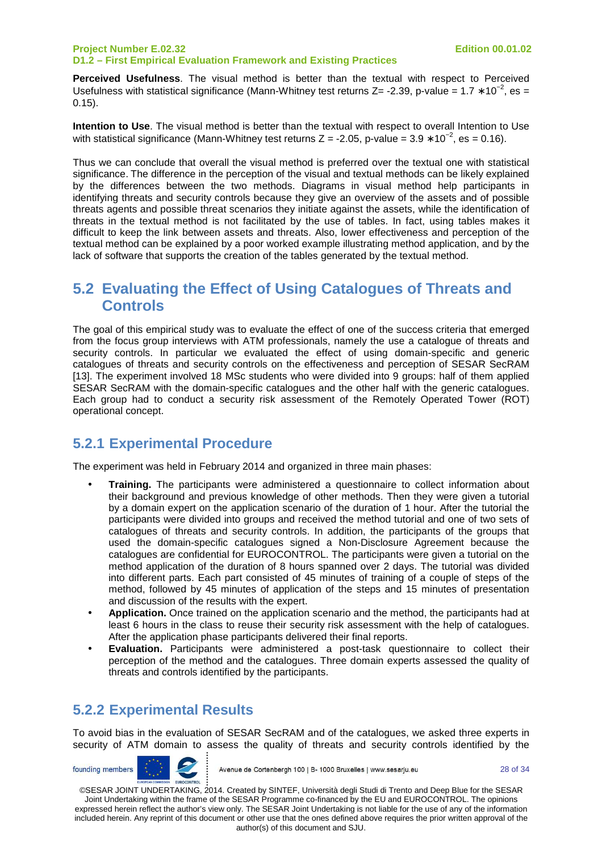**Perceived Usefulness**. The visual method is better than the textual with respect to Perceived Usefulness with statistical significance (Mann-Whitney test returns  $Z = -2.39$ , p-value = 1.7  $* 10^{-2}$ , es = 0.15).

**Intention to Use**. The visual method is better than the textual with respect to overall Intention to Use with statistical significance (Mann-Whitney test returns  $Z = -2.05$ , p-value =  $3.9 * 10^{-2}$ , es = 0.16).

Thus we can conclude that overall the visual method is preferred over the textual one with statistical significance. The difference in the perception of the visual and textual methods can be likely explained by the differences between the two methods. Diagrams in visual method help participants in identifying threats and security controls because they give an overview of the assets and of possible threats agents and possible threat scenarios they initiate against the assets, while the identification of threats in the textual method is not facilitated by the use of tables. In fact, using tables makes it difficult to keep the link between assets and threats. Also, lower effectiveness and perception of the textual method can be explained by a poor worked example illustrating method application, and by the lack of software that supports the creation of the tables generated by the textual method.

### **5.2 Evaluating the Effect of Using Catalogues of Threats and Controls**

The goal of this empirical study was to evaluate the effect of one of the success criteria that emerged from the focus group interviews with ATM professionals, namely the use a catalogue of threats and security controls. In particular we evaluated the effect of using domain-specific and generic catalogues of threats and security controls on the effectiveness and perception of SESAR SecRAM [13]. The experiment involved 18 MSc students who were divided into 9 groups: half of them applied SESAR SecRAM with the domain-specific catalogues and the other half with the generic catalogues. Each group had to conduct a security risk assessment of the Remotely Operated Tower (ROT) operational concept.

### **5.2.1 Experimental Procedure**

The experiment was held in February 2014 and organized in three main phases:

- **Training.** The participants were administered a questionnaire to collect information about their background and previous knowledge of other methods. Then they were given a tutorial by a domain expert on the application scenario of the duration of 1 hour. After the tutorial the participants were divided into groups and received the method tutorial and one of two sets of catalogues of threats and security controls. In addition, the participants of the groups that used the domain-specific catalogues signed a Non-Disclosure Agreement because the catalogues are confidential for EUROCONTROL. The participants were given a tutorial on the method application of the duration of 8 hours spanned over 2 days. The tutorial was divided into different parts. Each part consisted of 45 minutes of training of a couple of steps of the method, followed by 45 minutes of application of the steps and 15 minutes of presentation and discussion of the results with the expert.
- **Application.** Once trained on the application scenario and the method, the participants had at least 6 hours in the class to reuse their security risk assessment with the help of catalogues. After the application phase participants delivered their final reports.
- **Evaluation.** Participants were administered a post-task questionnaire to collect their perception of the method and the catalogues. Three domain experts assessed the quality of threats and controls identified by the participants.

### **5.2.2 Experimental Results**

To avoid bias in the evaluation of SESAR SecRAM and of the catalogues, we asked three experts in security of ATM domain to assess the quality of threats and security controls identified by the



Avenue de Cortenbergh 100 | B- 1000 Bruxelles | www.sesarju.eu

28 of 34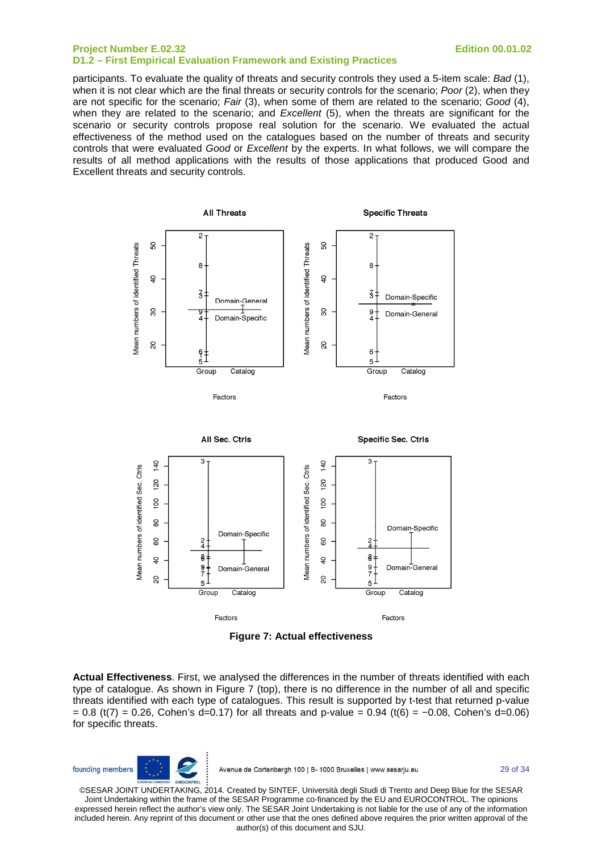participants. To evaluate the quality of threats and security controls they used a 5-item scale: Bad (1), when it is not clear which are the final threats or security controls for the scenario; Poor (2), when they are not specific for the scenario; Fair (3), when some of them are related to the scenario; Good (4), when they are related to the scenario; and Excellent (5), when the threats are significant for the scenario or security controls propose real solution for the scenario. We evaluated the actual effectiveness of the method used on the catalogues based on the number of threats and security controls that were evaluated Good or Excellent by the experts. In what follows, we will compare the results of all method applications with the results of those applications that produced Good and Excellent threats and security controls.







**Actual Effectiveness**. First, we analysed the differences in the number of threats identified with each type of catalogue. As shown in Figure 7 (top), there is no difference in the number of all and specific threats identified with each type of catalogues. This result is supported by t-test that returned p-value  $= 0.8$  (t(7) = 0.26, Cohen's d=0.17) for all threats and p-value = 0.94 (t(6) = -0.08, Cohen's d=0.06) for specific threats.

founding members

Avenue de Cortenbergh 100 | B- 1000 Bruxelles | www.sesarju.eu

29 of 34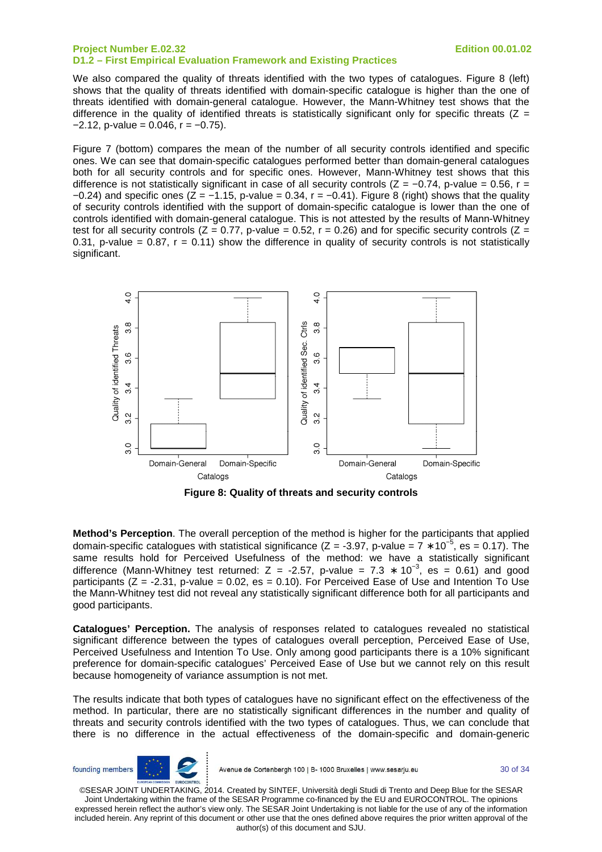We also compared the quality of threats identified with the two types of catalogues. Figure 8 (left) shows that the quality of threats identified with domain-specific catalogue is higher than the one of threats identified with domain-general catalogue. However, the Mann-Whitney test shows that the difference in the quality of identified threats is statistically significant only for specific threats ( $Z =$  $-2.12$ , p-value = 0.046, r =  $-0.75$ ).

Figure 7 (bottom) compares the mean of the number of all security controls identified and specific ones. We can see that domain-specific catalogues performed better than domain-general catalogues both for all security controls and for specific ones. However, Mann-Whitney test shows that this difference is not statistically significant in case of all security controls ( $Z = -0.74$ , p-value = 0.56, r =  $-0.24$ ) and specific ones (Z =  $-1.15$ , p-value = 0.34, r =  $-0.41$ ). Figure 8 (right) shows that the quality of security controls identified with the support of domain-specific catalogue is lower than the one of controls identified with domain-general catalogue. This is not attested by the results of Mann-Whitney test for all security controls ( $Z = 0.77$ , p-value = 0.52, r = 0.26) and for specific security controls ( $Z =$ 0.31, p-value = 0.87,  $r = 0.11$ ) show the difference in quality of security controls is not statistically significant.



**Figure 8: Quality of threats and security controls** 

**Method's Perception**. The overall perception of the method is higher for the participants that applied domain-specific catalogues with statistical significance (Z = -3.97, p-value =  $7 * 10^{-5}$ , es = 0.17). The same results hold for Perceived Usefulness of the method: we have a statistically significant difference (Mann-Whitney test returned: Z = -2.57, p-value =  $7.3 \times 10^{-3}$ , es = 0.61) and good participants  $(Z = -2.31, p-value = 0.02, es = 0.10)$ . For Perceived Ease of Use and Intention To Use the Mann-Whitney test did not reveal any statistically significant difference both for all participants and good participants.

**Catalogues' Perception.** The analysis of responses related to catalogues revealed no statistical significant difference between the types of catalogues overall perception, Perceived Ease of Use, Perceived Usefulness and Intention To Use. Only among good participants there is a 10% significant preference for domain-specific catalogues' Perceived Ease of Use but we cannot rely on this result because homogeneity of variance assumption is not met.

The results indicate that both types of catalogues have no significant effect on the effectiveness of the method. In particular, there are no statistically significant differences in the number and quality of threats and security controls identified with the two types of catalogues. Thus, we can conclude that there is no difference in the actual effectiveness of the domain-specific and domain-generic

Avenue de Cortenbergh 100 | B- 1000 Bruxelles | www.sesarju.eu

30 of 34

©SESAR JOINT UNDERTAKING, 2014. Created by SINTEF, Università degli Studi di Trento and Deep Blue for the SESAR Joint Undertaking within the frame of the SESAR Programme co-financed by the EU and EUROCONTROL. The opinions expressed herein reflect the author's view only. The SESAR Joint Undertaking is not liable for the use of any of the information included herein. Any reprint of this document or other use that the ones defined above requires the prior written approval of the author(s) of this document and SJU.

founding members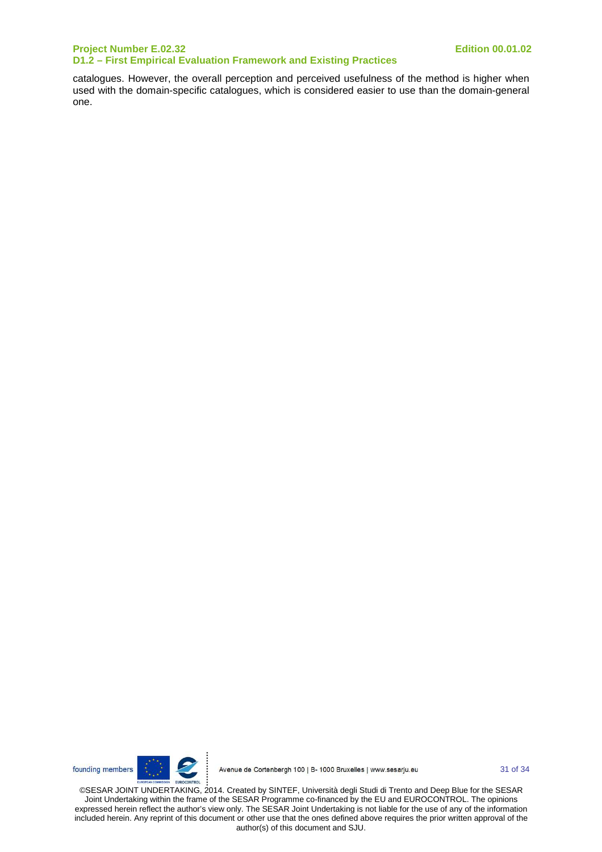catalogues. However, the overall perception and perceived usefulness of the method is higher when used with the domain-specific catalogues, which is considered easier to use than the domain-general one.



31 of 34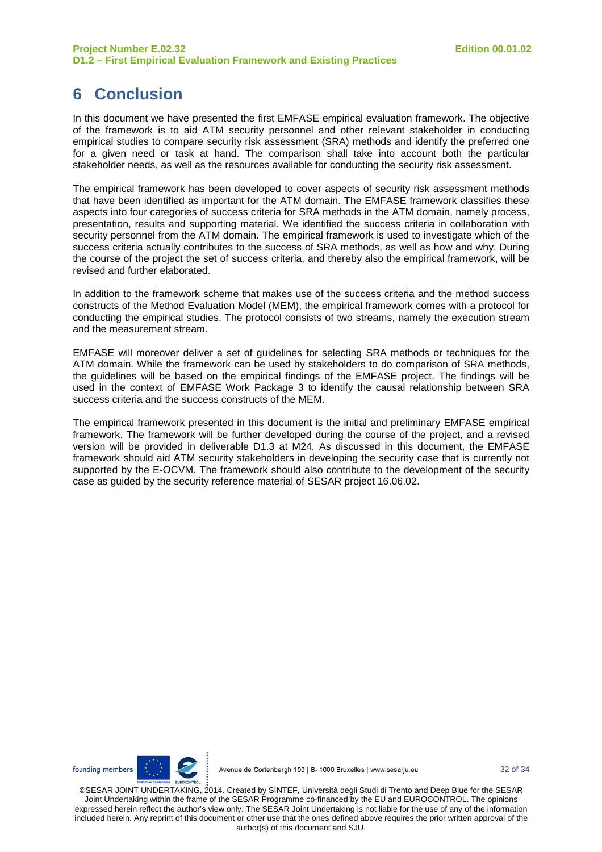# **6 Conclusion**

In this document we have presented the first EMFASE empirical evaluation framework. The objective of the framework is to aid ATM security personnel and other relevant stakeholder in conducting empirical studies to compare security risk assessment (SRA) methods and identify the preferred one for a given need or task at hand. The comparison shall take into account both the particular stakeholder needs, as well as the resources available for conducting the security risk assessment.

The empirical framework has been developed to cover aspects of security risk assessment methods that have been identified as important for the ATM domain. The EMFASE framework classifies these aspects into four categories of success criteria for SRA methods in the ATM domain, namely process, presentation, results and supporting material. We identified the success criteria in collaboration with security personnel from the ATM domain. The empirical framework is used to investigate which of the success criteria actually contributes to the success of SRA methods, as well as how and why. During the course of the project the set of success criteria, and thereby also the empirical framework, will be revised and further elaborated.

In addition to the framework scheme that makes use of the success criteria and the method success constructs of the Method Evaluation Model (MEM), the empirical framework comes with a protocol for conducting the empirical studies. The protocol consists of two streams, namely the execution stream and the measurement stream.

EMFASE will moreover deliver a set of guidelines for selecting SRA methods or techniques for the ATM domain. While the framework can be used by stakeholders to do comparison of SRA methods, the guidelines will be based on the empirical findings of the EMFASE project. The findings will be used in the context of EMFASE Work Package 3 to identify the causal relationship between SRA success criteria and the success constructs of the MEM.

The empirical framework presented in this document is the initial and preliminary EMFASE empirical framework. The framework will be further developed during the course of the project, and a revised version will be provided in deliverable D1.3 at M24. As discussed in this document, the EMFASE framework should aid ATM security stakeholders in developing the security case that is currently not supported by the E-OCVM. The framework should also contribute to the development of the security case as guided by the security reference material of SESAR project 16.06.02.

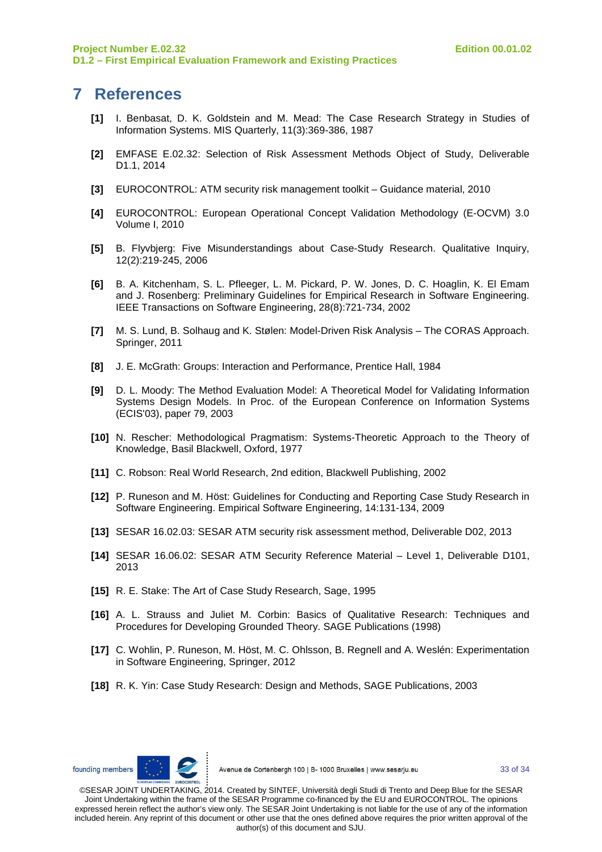### **7 References**

- **[1]** I. Benbasat, D. K. Goldstein and M. Mead: The Case Research Strategy in Studies of Information Systems. MIS Quarterly, 11(3):369-386, 1987
- **[2]** EMFASE E.02.32: Selection of Risk Assessment Methods Object of Study, Deliverable D1.1, 2014
- **[3]** EUROCONTROL: ATM security risk management toolkit Guidance material, 2010
- **[4]** EUROCONTROL: European Operational Concept Validation Methodology (E-OCVM) 3.0 Volume I, 2010
- **[5]** B. Flyvbjerg: Five Misunderstandings about Case-Study Research. Qualitative Inquiry, 12(2):219-245, 2006
- **[6]** B. A. Kitchenham, S. L. Pfleeger, L. M. Pickard, P. W. Jones, D. C. Hoaglin, K. El Emam and J. Rosenberg: Preliminary Guidelines for Empirical Research in Software Engineering. IEEE Transactions on Software Engineering, 28(8):721-734, 2002
- **[7]** M. S. Lund, B. Solhaug and K. Stølen: Model-Driven Risk Analysis The CORAS Approach. Springer, 2011
- **[8]** J. E. McGrath: Groups: Interaction and Performance, Prentice Hall, 1984
- **[9]** D. L. Moody: The Method Evaluation Model: A Theoretical Model for Validating Information Systems Design Models. In Proc. of the European Conference on Information Systems (ECIS'03), paper 79, 2003
- **[10]** N. Rescher: Methodological Pragmatism: Systems-Theoretic Approach to the Theory of Knowledge, Basil Blackwell, Oxford, 1977
- **[11]** C. Robson: Real World Research, 2nd edition, Blackwell Publishing, 2002
- **[12]** P. Runeson and M. Höst: Guidelines for Conducting and Reporting Case Study Research in Software Engineering. Empirical Software Engineering, 14:131-134, 2009
- **[13]** SESAR 16.02.03: SESAR ATM security risk assessment method, Deliverable D02, 2013
- **[14]** SESAR 16.06.02: SESAR ATM Security Reference Material Level 1, Deliverable D101, 2013
- **[15]** R. E. Stake: The Art of Case Study Research, Sage, 1995
- **[16]** A. L. Strauss and Juliet M. Corbin: Basics of Qualitative Research: Techniques and Procedures for Developing Grounded Theory. SAGE Publications (1998)
- **[17]** C. Wohlin, P. Runeson, M. Höst, M. C. Ohlsson, B. Regnell and A. Weslén: Experimentation in Software Engineering, Springer, 2012
- **[18]** R. K. Yin: Case Study Research: Design and Methods, SAGE Publications, 2003



Avenue de Cortenbergh 100 | B- 1000 Bruxelles | www.sesarju.eu

33 of 34